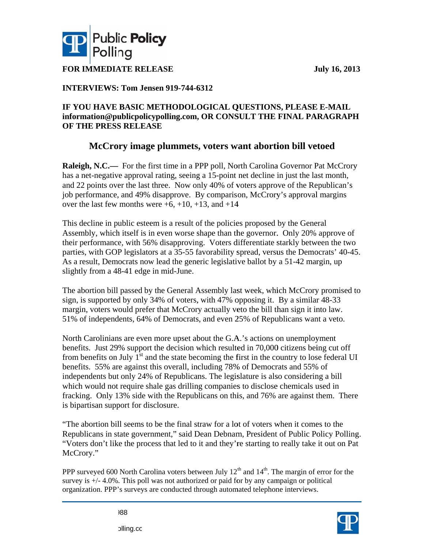**J July 16, 201 3** 



## **INTE ERVIEWS: Tom Jense en 919-744-6 6312**

## IF YOU HAVE BASIC METHODOLOGICAL QUESTIONS, PLEASE E-MAIL  $\text{information@publicpolicypolling.com, OR CONSULT THE FINAL PARAGRAPH}$ **OF THE PRESS RELEASE**

# E PRESS RELEASE<br>McCrory image plummets, voters want abortion bill vetoed

**Raleigh, N.C.—** For the first time in a PPP poll, North Carolina Governor Pat McCrory has a net-negative approval rating, seeing a 15-point net decline in just the last month, and 22 points over the last three. Now only 40% of voters approve of the Republican's job performance, and 49% disapprove. By comparison, McCrory's approval margins over the last few months were  $+6$ ,  $+10$ ,  $+13$ , and  $+14$ y<br>f<br>5.

over the last few months were  $+6, +10, +13,$  and  $+14$ <br>This decline in public esteem is a result of the policies proposed by the General Assembly, which itself is in even worse shape than the governor. Only 20% approve of their performance, with 56% disapproving. Voters differentiate starkly between the two parties, with GOP legislators at a 35-55 favorability spread, versus the Democrats' 40-45 As a result, Democrats now lead the generic legislative ballot by a 51-42 margin, up slightly from a 48-41 edge in mid-June.

The abortion bill passed by the General Assembly last week, which McCrory promised to sign, is supported by only 34% of voters, with 47% opposing it. By a similar 48-33 margin, voters would prefer that McCrory actually veto the bill than sign it into law. 51% of independents, 64% of Democrats, and even 25% of Republicans want a veto.

North Carolinians are even more upset about the G.A.'s actions on unemployment benefits. Just 29% support the decision which resulted in 70,000 citizens being cut off from benefits on July  $1<sup>st</sup>$  and the state becoming the first in the country to lose federal UI benefits. 55% are against this overall, including 78% of Democrats and 55% of independents but only 24% of Republicans. The legislature is also considering a bill which would not require shale gas drilling companies to disclose chemicals used in fracking. Only 13% side with the Republicans on this, and 76% are against them. There is bip partisan supp port for discl losure. I<br>e

"The abortion bill seems to be the final straw for a lot of voters when it comes to the Republicans in state government," said Dean Debnam, President of Public Policy Polling. "Voters don't like the process that led to it and they're starting to really take it out on Pat McCrory."

PPP surveyed 600 North Carolina voters between July  $12<sup>th</sup>$  and  $14<sup>th</sup>$ . The margin of error for the survey is  $+/- 4.0\%$ . This poll was not authorized or paid for by any campaign or political organization. PPP's surveys are conducted through automated telephone interviews.

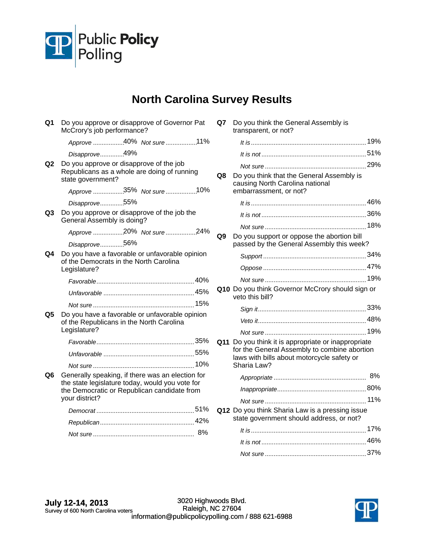

# **North Carolina Survey Results**

**Q1** Do you approve or disapprove of Governor Pat McCrory's job performance? Approve ..................40% Not sure ...................11% *Disapprove* 49% .............. **Q2** Do you approve or disapprove of the job Republicans as a whole are doing of running state government? Approve .................35% Not sure ..................10% *Disapprove* 55% .............. **Q3** Do you approve or disapprove of the job the General Assembly is doing? Approve .................20% Not sure ..................24% *Disapprove.............*56% **Q4** Do you have a favorable or unfavorable opinion of the Democrats in the North Carolina Legislature? *Favorable* 40% ........................................................ *Unfavorable* 45% .................................................... *Not sure* 15% .......................................................... **Q5** Do you have a favorable or unfavorable opinion of the Republicans in the North Carolina Legislature? *Favorable* 35% ........................................................ *Unfavorable* 55% .................................................... *Not sure* 10% .......................................................... **Q6** Generally speaking, if there was an election for the state legislature today, would you vote for the Democratic or Republican candidate from your district? *Democrat* 51% ........................................................ *Republican* 42% ...................................................... *Not sure* 8% ..........................................................

| Q7  | Do you think the General Assembly is<br>transparent, or not?                                                                                                     |     |
|-----|------------------------------------------------------------------------------------------------------------------------------------------------------------------|-----|
|     |                                                                                                                                                                  |     |
|     |                                                                                                                                                                  |     |
|     |                                                                                                                                                                  |     |
| Q8  | Do you think that the General Assembly is<br>causing North Carolina national<br>embarrassment, or not?                                                           |     |
|     |                                                                                                                                                                  |     |
|     |                                                                                                                                                                  |     |
|     |                                                                                                                                                                  |     |
| Q9. | Do you support or oppose the abortion bill<br>passed by the General Assembly this week?                                                                          |     |
|     |                                                                                                                                                                  |     |
|     |                                                                                                                                                                  |     |
|     |                                                                                                                                                                  |     |
|     | Q10 Do you think Governor McCrory should sign or<br>veto this bill?                                                                                              |     |
|     |                                                                                                                                                                  |     |
|     |                                                                                                                                                                  |     |
|     |                                                                                                                                                                  |     |
|     | Q11 Do you think it is appropriate or inappropriate<br>for the General Assembly to combine abortion<br>laws with bills about motorcycle safety or<br>Sharia Law? |     |
|     |                                                                                                                                                                  |     |
|     |                                                                                                                                                                  |     |
|     |                                                                                                                                                                  |     |
|     | Q12 Do you think Sharia Law is a pressing issue<br>state government should address, or not?                                                                      |     |
|     |                                                                                                                                                                  |     |
|     |                                                                                                                                                                  |     |
|     |                                                                                                                                                                  | 37% |

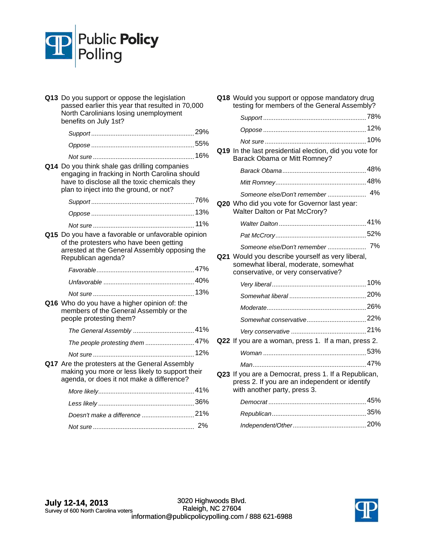

| Q13 Do you support or oppose the legislation<br>passed earlier this year that resulted in 70,000<br>North Carolinians losing unemployment<br>benefits on July 1st?                         |  |
|--------------------------------------------------------------------------------------------------------------------------------------------------------------------------------------------|--|
|                                                                                                                                                                                            |  |
|                                                                                                                                                                                            |  |
|                                                                                                                                                                                            |  |
| Q14 Do you think shale gas drilling companies<br>engaging in fracking in North Carolina should<br>have to disclose all the toxic chemicals they<br>plan to inject into the ground, or not? |  |
|                                                                                                                                                                                            |  |
|                                                                                                                                                                                            |  |
|                                                                                                                                                                                            |  |
| Q15 Do you have a favorable or unfavorable opinion<br>of the protesters who have been getting<br>arrested at the General Assembly opposing the<br>Republican agenda?                       |  |
|                                                                                                                                                                                            |  |
|                                                                                                                                                                                            |  |
| Q16 Who do you have a higher opinion of: the<br>members of the General Assembly or the<br>people protesting them?                                                                          |  |
|                                                                                                                                                                                            |  |
|                                                                                                                                                                                            |  |
|                                                                                                                                                                                            |  |
| The people protesting them 47%                                                                                                                                                             |  |
| Q17 Are the protesters at the General Assembly<br>making you more or less likely to support their<br>agenda, or does it not make a difference?                                             |  |
|                                                                                                                                                                                            |  |
|                                                                                                                                                                                            |  |
|                                                                                                                                                                                            |  |

| Q18 Would you support or oppose mandatory drug<br>testing for members of the General Assembly?                                         |  |
|----------------------------------------------------------------------------------------------------------------------------------------|--|
|                                                                                                                                        |  |
|                                                                                                                                        |  |
|                                                                                                                                        |  |
| Q19 In the last presidential election, did you vote for<br>Barack Obama or Mitt Romney?                                                |  |
|                                                                                                                                        |  |
|                                                                                                                                        |  |
| Someone else/Don't remember  4%<br>Q20 Who did you vote for Governor last year:<br>Walter Dalton or Pat McCrory?                       |  |
|                                                                                                                                        |  |
|                                                                                                                                        |  |
| Someone else/Don't remember  7%                                                                                                        |  |
| Q21 Would you describe yourself as very liberal,<br>somewhat liberal, moderate, somewhat<br>conservative, or very conservative?        |  |
|                                                                                                                                        |  |
|                                                                                                                                        |  |
|                                                                                                                                        |  |
|                                                                                                                                        |  |
|                                                                                                                                        |  |
| Q22 If you are a woman, press 1. If a man, press 2.                                                                                    |  |
|                                                                                                                                        |  |
|                                                                                                                                        |  |
| Q23 If you are a Democrat, press 1. If a Republican,<br>press 2. If you are an independent or identify<br>with another party, press 3. |  |
|                                                                                                                                        |  |
|                                                                                                                                        |  |
|                                                                                                                                        |  |

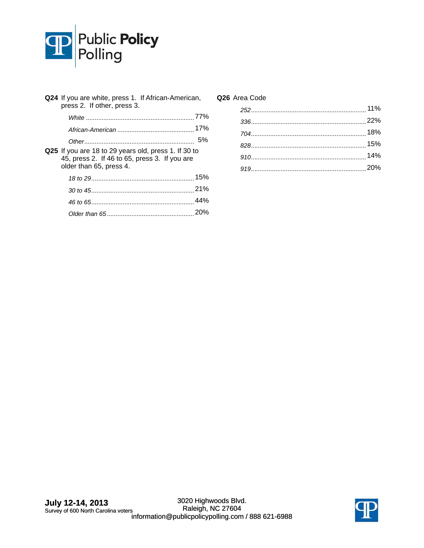

| Q24 If you are white, press 1. If African-American,<br>press 2. If other, press 3.                                               |    |
|----------------------------------------------------------------------------------------------------------------------------------|----|
|                                                                                                                                  |    |
|                                                                                                                                  |    |
|                                                                                                                                  | 5% |
| Q25 If you are 18 to 29 years old, press 1. If 30 to<br>45, press 2. If 46 to 65, press 3. If you are<br>older than 65, press 4. |    |
|                                                                                                                                  |    |
|                                                                                                                                  |    |
|                                                                                                                                  |    |
|                                                                                                                                  |    |

#### **Q26** Area Code

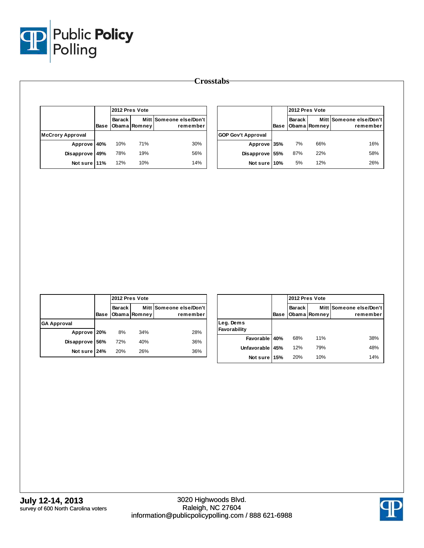

|                         |             | 2012 Pres Vote |              |                                     |
|-------------------------|-------------|----------------|--------------|-------------------------------------|
|                         | <b>Base</b> | Barack I       | Obama Romney | Mitt Someone else/Don't<br>remember |
| <b>McCrory Approval</b> |             |                |              |                                     |
| Approve                 | 40%         | 10%            | 71%          | 30%                                 |
| <b>Disapprove</b>       | 49%         | 78%            | 19%          | 56%                                 |
| Not sure 11%            |             | 12%            | 10%          | 14%                                 |

|                           |      | 2012 Pres Vote |              |                                     |  |
|---------------------------|------|----------------|--------------|-------------------------------------|--|
|                           | Base | Barack I       | Obama Romney | Mitt Someone else/Don't<br>remember |  |
| <b>GOP Gov't Approval</b> |      |                |              |                                     |  |
| Approve 35%               |      | 7%             | 66%          | 16%                                 |  |
| <b>Disapprove</b>         | 55%  | 87%            | 22%          | 58%                                 |  |
| Not sure 10%              |      | 5%             | 12%          | 26%                                 |  |

|                    |      | 2012 Pres Vote |              |                                     |  |
|--------------------|------|----------------|--------------|-------------------------------------|--|
|                    | Base | Barack I       | Obama Romney | Mitt Someone else/Don't<br>remember |  |
| <b>GA Approval</b> |      |                |              |                                     |  |
| Approve 20%        |      | 8%             | 34%          | 28%                                 |  |
| <b>Disapprove</b>  | 56%  | 72%            | 40%          | 36%                                 |  |
| Not sure 24%       |      | 20%            | 26%          | 36%                                 |  |

|                           |      |        | 2012 Pres Vote |                                     |  |
|---------------------------|------|--------|----------------|-------------------------------------|--|
|                           | Base | Barack | Obama Romney   | Mitt Someone else/Don't<br>remember |  |
| Leg. Dems<br>Favorability |      |        |                |                                     |  |
| Favorable 40%             |      | 68%    | 11%            | 38%                                 |  |
| <b>Unfavorable</b>        | 45%  | 12%    | 79%            | 48%                                 |  |
| Not sure                  | 15%  | 20%    | 10%            | 14%                                 |  |

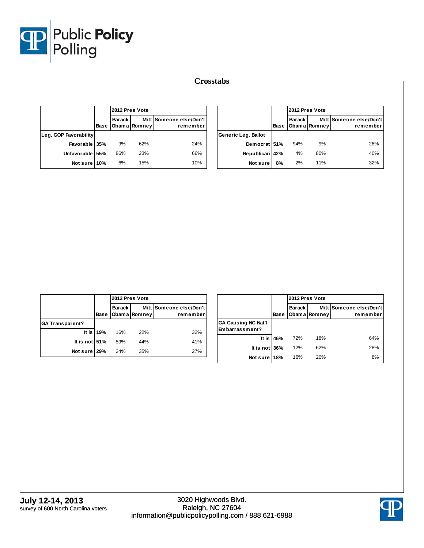

|                       |      |               | 2012 Pres Vote |                                     |  |
|-----------------------|------|---------------|----------------|-------------------------------------|--|
|                       | Base | <b>Barack</b> | Obama Romney   | Mitt Someone else/Don't<br>remember |  |
| Leg. GOP Favorability |      |               |                |                                     |  |
| Favorable 35%         |      | 9%            | 62%            | 24%                                 |  |
| Unfavorable           | 55%  | 86%           | 23%            | 66%                                 |  |
| Not sure 10%          |      | 6%            | 15%            | 10%                                 |  |

|                     |             | 2012 Pres Vote |              |                                     |  |
|---------------------|-------------|----------------|--------------|-------------------------------------|--|
|                     | <b>Base</b> | Barack I       | Obama Romney | Mitt Someone else/Don't<br>remember |  |
| Generic Leg. Ballot |             |                |              |                                     |  |
| Democrat 51%        |             | 94%            | 9%           | 28%                                 |  |
| Republican 42%      |             | 4%             | 80%          | 40%                                 |  |
| Not sure            | 8%          | 2%             | 11%          | 32%                                 |  |

|                        |             |          | 2012 Pres Vote |                                     |  |  |
|------------------------|-------------|----------|----------------|-------------------------------------|--|--|
|                        | Base        | Barack I | Obama Romney   | Mitt Someone else/Don't<br>remember |  |  |
| <b>GA Transparent?</b> |             |          |                |                                     |  |  |
|                        | It is $19%$ | 16%      | 22%            | 32%                                 |  |  |
| It is not 51%          |             | 59%      | 44%            | 41%                                 |  |  |
| Not sure 29%           |             | 24%      | 35%            | 27%                                 |  |  |

|                                              |              |               | 2012 Pres Vote |                                     |  |
|----------------------------------------------|--------------|---------------|----------------|-------------------------------------|--|
|                                              | Base         | <b>Barack</b> | Obama Romney   | Mitt Someone else/Don't<br>remember |  |
| <b>GA Causing NC Nat'l</b><br>Embarrassment? |              |               |                |                                     |  |
|                                              | It is $146%$ | 72%           | 18%            | 64%                                 |  |
| It is not $36%$                              |              | 12%           | 62%            | 28%                                 |  |
| Not sure 18%                                 |              | 16%           | 20%            | 8%                                  |  |

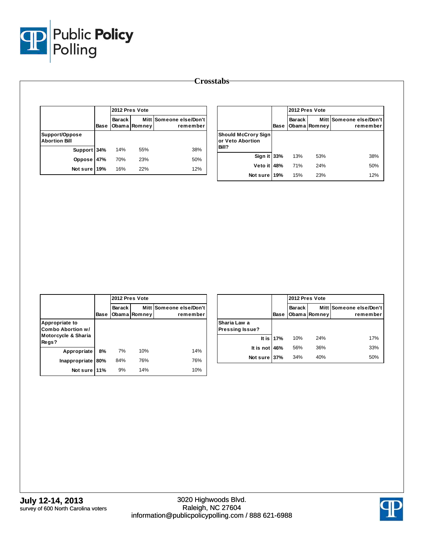

| <b>Crosstabs</b> |  |
|------------------|--|
|------------------|--|

|                                        |      | 2012 Pres Vote |              |                                     |  |  |
|----------------------------------------|------|----------------|--------------|-------------------------------------|--|--|
|                                        | Base | <b>Barack</b>  | Obama Romney | Mitt Someone else/Don't<br>remember |  |  |
| Support/Oppose<br><b>Abortion Bill</b> |      |                |              |                                     |  |  |
| Support 34%                            |      | 14%            | 55%          | 38%                                 |  |  |
| Oppose                                 | 47%  | 70%            | 23%          | 50%                                 |  |  |
| Not sure 19%                           |      | 16%            | 22%          | 12%                                 |  |  |

|                                                         |             | 2012 Pres Vote |              |                                     |  |
|---------------------------------------------------------|-------------|----------------|--------------|-------------------------------------|--|
|                                                         | <b>Base</b> | Barack I       | Obama Romney | Mitt Someone else/Don't<br>remember |  |
| <b>Should McCrory Sign</b><br>or Veto Abortion<br>Bill? |             |                |              |                                     |  |
| Sign it 33%                                             |             | 13%            | 53%          | 38%                                 |  |
| Veto it 48%                                             |             | 71%            | 24%          | 50%                                 |  |
| Not sure                                                | 19%         | 15%            | 23%          | 12%                                 |  |

|                                                                     |      | 2012 Pres Vote |              |                                     |  |  |
|---------------------------------------------------------------------|------|----------------|--------------|-------------------------------------|--|--|
|                                                                     | Base | Barack         | Obama Romney | Mitt Someone else/Don't<br>remember |  |  |
| Appropriate to<br>Combo Abortion w/<br>Motorcycle & Sharia<br>Regs? |      |                |              |                                     |  |  |
| Appropriate                                                         | 8%   | 7%             | 10%          | 14%                                 |  |  |
| Inappropriate                                                       | 80%  | 84%            | 76%          | 76%                                 |  |  |
| Not sure                                                            | 11%  | 9%             | 14%          | 10%                                 |  |  |

|                                        |             |               | 2012 Pres Vote |                                     |  |
|----------------------------------------|-------------|---------------|----------------|-------------------------------------|--|
|                                        | Base        | <b>Barack</b> | Obama Romney   | Mitt Someone else/Don't<br>remember |  |
| Sharia Law a<br><b>Pressing Issue?</b> |             |               |                |                                     |  |
|                                        | It is $17%$ | 10%           | 24%            | 17%                                 |  |
| It is not $46%$                        |             | 56%           | 36%            | 33%                                 |  |
| Not sure 37%                           |             | 34%           | 40%            | 50%                                 |  |

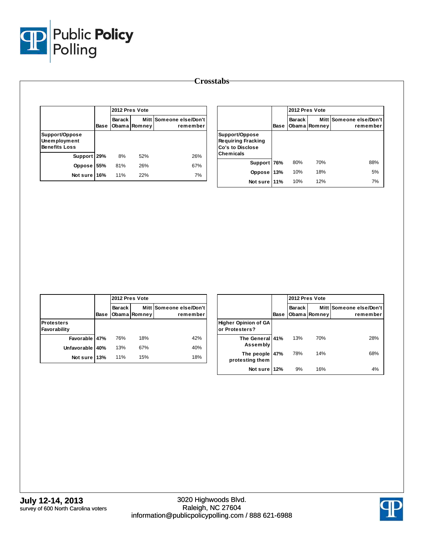

|                                                        |      | 2012 Pres Vote |              |                                            |  |
|--------------------------------------------------------|------|----------------|--------------|--------------------------------------------|--|
|                                                        | Base | <b>Barack</b>  | Obama Romney | Mitt Someone else/Don't<br><b>remember</b> |  |
| Support/Oppose<br>Unemployment<br><b>Benefits Loss</b> |      |                |              |                                            |  |
| Support 29%                                            |      | 8%             | 52%          | 26%                                        |  |
| Oppose                                                 | 55%  | 81%            | 26%          | 67%                                        |  |
| Not sure                                               | 16%  | 11%            | 22%          | 7%                                         |  |

|                                                                              |      | 2012 Pres Vote                |        |                                     |  |
|------------------------------------------------------------------------------|------|-------------------------------|--------|-------------------------------------|--|
|                                                                              | Base | <b>Barack</b><br><b>Obama</b> | Romney | Mitt Someone else/Don't<br>remember |  |
| Support/Oppose<br><b>Requiring Fracking</b><br>Co's to Disclose<br>Chemicals |      |                               |        |                                     |  |
| Support 76%                                                                  |      | 80%                           | 70%    | 88%                                 |  |
| Oppose                                                                       | 13%  | 10%                           | 18%    | 5%                                  |  |
| Not sure                                                                     | 11%  | 10%                           | 12%    | 7%                                  |  |

|                                   |      |               | 2012 Pres Vote |                                     |  |  |
|-----------------------------------|------|---------------|----------------|-------------------------------------|--|--|
|                                   | Base | <b>Barack</b> | Obama Romney   | Mitt Someone else/Don't<br>remember |  |  |
| <b>Protesters</b><br>Favorability |      |               |                |                                     |  |  |
| Favorable 47%                     |      | 76%           | 18%            | 42%                                 |  |  |
| Unfavorable                       | 40%  | 13%           | 67%            | 40%                                 |  |  |
| Not sure 13%                      |      | 11%           | 15%            | 18%                                 |  |  |

|                                               |      |                               | 2012 Pres Vote |                                     |  |  |
|-----------------------------------------------|------|-------------------------------|----------------|-------------------------------------|--|--|
|                                               | Base | <b>Barack</b><br><b>Obama</b> | Romney         | Mitt Someone else/Don't<br>remember |  |  |
| <b>Higher Opinion of GA</b><br>or Protesters? |      |                               |                |                                     |  |  |
| The General 41%<br>Assembly                   |      | 13%                           | 70%            | 28%                                 |  |  |
| The people<br>protesting them                 | 47%  | 78%                           | 14%            | 68%                                 |  |  |
| Not sure                                      | 12%  | 9%                            | 16%            | 4%                                  |  |  |

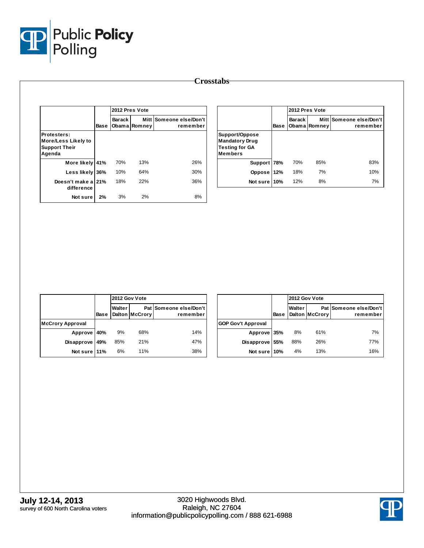

|                                                                             |      | 2012 Pres Vote |              |                                     |
|-----------------------------------------------------------------------------|------|----------------|--------------|-------------------------------------|
|                                                                             | Base | <b>Barack</b>  | Obama Romney | Mitt Someone else/Don't<br>remember |
| Protesters:<br><b>More/Less Likely to</b><br><b>Support Their</b><br>Agenda |      |                |              |                                     |
| More likely                                                                 | 41%  | 70%            | 13%          | 26%                                 |
| Less likely                                                                 | 36%  | 10%            | 64%          | 30%                                 |
| Doesn't make a<br>difference                                                | 21%  | 18%            | 22%          | 36%                                 |
| Not sure                                                                    | 2%   | 3%             | 2%           | 8%                                  |

|                                                                                    |      | 2012 Pres Vote |              |                                     |  |  |
|------------------------------------------------------------------------------------|------|----------------|--------------|-------------------------------------|--|--|
|                                                                                    | Base | <b>Barack</b>  | Obama Romney | Mitt Someone else/Don't<br>remember |  |  |
| Support/Oppose<br><b>Mandatory Drug</b><br><b>Testing for GA</b><br><b>Members</b> |      |                |              |                                     |  |  |
| Support 78%                                                                        |      | 70%            | 85%          | 83%                                 |  |  |
| Oppose                                                                             | 12%  | 18%            | 7%           | 10%                                 |  |  |
| Not sure                                                                           | 10%  | 12%            | 8%           | 7%                                  |  |  |

|                         |             |               | 2012 Gov Vote  |                                    |  |
|-------------------------|-------------|---------------|----------------|------------------------------------|--|
|                         | <b>Base</b> | <b>Walter</b> | Dalton McCrory | Pat Someone else/Don't<br>remember |  |
| <b>McCrory Approval</b> |             |               |                |                                    |  |
| Approve 40%             |             | 9%            | 68%            | 14%                                |  |
| <b>Disapprove</b>       | 49%         | 85%           | 21%            | 47%                                |  |
| Not sure 11%            |             | 6%            | 11%            | 38%                                |  |

|                           |      |        | 2012 Gov Vote         |                                    |  |
|---------------------------|------|--------|-----------------------|------------------------------------|--|
|                           | Base | Walter | <b>Dalton McCrory</b> | Pat Someone else/Don't<br>remember |  |
| <b>GOP Gov't Approval</b> |      |        |                       |                                    |  |
| Approve 35%               |      | 8%     | 61%                   | 7%                                 |  |
| Disapprove                | 55%  | 88%    | 26%                   | 77%                                |  |
| Not sure                  | 10%  | 4%     | 13%                   | 16%                                |  |

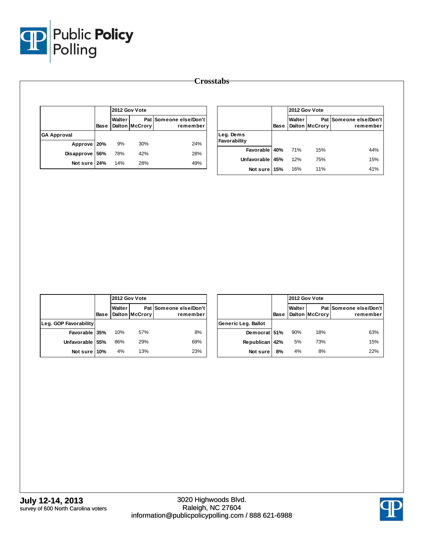

| <b>Crosstabs</b> |  |
|------------------|--|
|------------------|--|

|                    |             |        | 2012 Gov Vote         |                                    |  |
|--------------------|-------------|--------|-----------------------|------------------------------------|--|
|                    | <b>Base</b> | Walter | <b>Dalton McCrory</b> | Pat Someone else/Don't<br>remember |  |
| <b>GA Approval</b> |             |        |                       |                                    |  |
| Approve   20%      |             | 9%     | 30%                   | 24%                                |  |
| Disapprove         | 56%         | 78%    | 42%                   | 28%                                |  |
| Not sure 24%       |             | 14%    | 28%                   | 49%                                |  |

|                           |             | 2012 Gov Vote |                |                                    |
|---------------------------|-------------|---------------|----------------|------------------------------------|
|                           | <b>Base</b> | Walter        | Dalton McCrory | Pat Someone else/Don't<br>remember |
| Leg. Dems<br>Favorability |             |               |                |                                    |
| Favorable 40%             |             | 71%           | 15%            | 44%                                |
| <b>Unfavorable</b>        | 45%         | 12%           | 75%            | 15%                                |
| Not sure I                | 15%         | 16%           | 11%            | 41%                                |

|                       |      |               | 2012 Gov Vote  |                                    |  |
|-----------------------|------|---------------|----------------|------------------------------------|--|
|                       | Base | <b>Walter</b> | Dalton McCrory | Pat Someone else/Don't<br>remember |  |
| Leg. GOP Favorability |      |               |                |                                    |  |
| Favorable 35%         |      | 10%           | 57%            | 8%                                 |  |
| Unfavorable           | 55%  | 86%           | 29%            | 69%                                |  |
| Not sure              | 10%  | 4%            | 13%            | 23%                                |  |

|                     |             |        | 2012 Gov Vote  |                                    |  |
|---------------------|-------------|--------|----------------|------------------------------------|--|
|                     | <b>Base</b> | Walter | Dalton McCrory | Pat Someone else/Don't<br>remember |  |
| Generic Leg. Ballot |             |        |                |                                    |  |
| Democrat 51%        |             | 90%    | 18%            | 63%                                |  |
| Republican          | 42%         | 5%     | 73%            | 15%                                |  |
| Not sure            | 8%          | 4%     | 8%             | 22%                                |  |

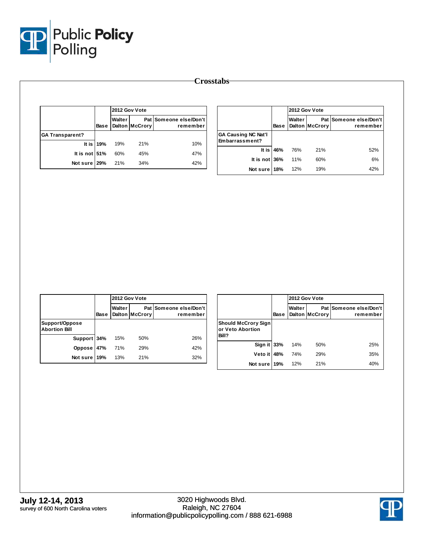

| <b>Crosstabs</b> |  |  |
|------------------|--|--|
|                  |  |  |

|                        |             |        | 2012 Gov Vote    |                                    |  |
|------------------------|-------------|--------|------------------|------------------------------------|--|
|                        | Base        | Walter | Dalton   McCrory | Pat Someone else/Don't<br>remember |  |
| <b>GA Transparent?</b> |             |        |                  |                                    |  |
|                        | It is $19%$ | 19%    | 21%              | 10%                                |  |
| It is not 51%          |             | 60%    | 45%              | 47%                                |  |
| Not sure 29%           |             | 21%    | 34%              | 42%                                |  |

|                                              |             | 2012 Gov Vote |                |                                    |
|----------------------------------------------|-------------|---------------|----------------|------------------------------------|
|                                              | <b>Base</b> | Walter        | Dalton McCrory | Pat Someone else/Don't<br>remember |
| <b>GA Causing NC Nat'l</b><br>Embarrassment? |             |               |                |                                    |
| It is                                        | 46%         | 76%           | 21%            | 52%                                |
| It is not $36%$                              |             | 11%           | 60%            | 6%                                 |
| Not sure                                     | 18%         | 12%           | 19%            | 42%                                |

|                                        |             | 2012 Gov Vote |                |                                    |
|----------------------------------------|-------------|---------------|----------------|------------------------------------|
|                                        | <b>Base</b> | Walter        | Dalton McCrory | Pat Someone else/Don't<br>remember |
| Support/Oppose<br><b>Abortion Bill</b> |             |               |                |                                    |
| Support 34%                            |             | 15%           | 50%            | 26%                                |
| Oppose 47%                             |             | 71%           | 29%            | 42%                                |
| Not sure 19%                           |             | 13%           | 21%            | 32%                                |

|                                                         |      |        | 2012 Gov Vote  |                                    |  |
|---------------------------------------------------------|------|--------|----------------|------------------------------------|--|
|                                                         | Base | Walter | Dalton McCrory | Pat Someone else/Don't<br>remember |  |
| <b>Should McCrory Sign</b><br>or Veto Abortion<br>Bill? |      |        |                |                                    |  |
| Sign it 33%                                             |      | 14%    | 50%            | 25%                                |  |
| Veto it                                                 | 48%  | 74%    | 29%            | 35%                                |  |
| Not sure                                                | 19%  | 12%    | 21%            | 40%                                |  |

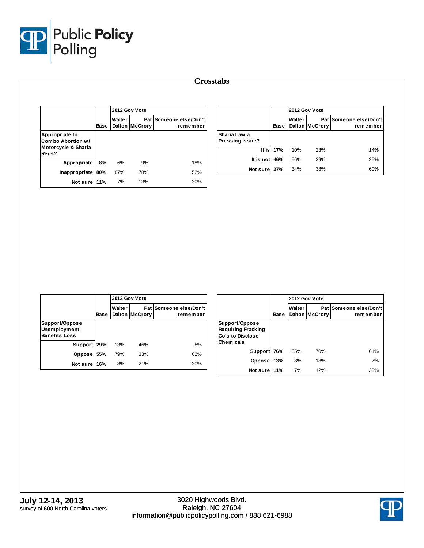

|                                                                     | Base | 2012 Gov Vote |                |                                    |  |  |
|---------------------------------------------------------------------|------|---------------|----------------|------------------------------------|--|--|
|                                                                     |      | Walter        | Dalton McCrory | Pat Someone else/Don't<br>remember |  |  |
| Appropriate to<br>Combo Abortion w/<br>Motorcycle & Sharia<br>Regs? |      |               |                |                                    |  |  |
| Appropriate                                                         | 8%   | 6%            | 9%             | 18%                                |  |  |
| Inappropriate                                                       | 80%  | 87%           | 78%            | 52%                                |  |  |
| Not sure                                                            | 11%  | 7%            | 13%            | 30%                                |  |  |

|                                        |           | 2012 Gov Vote |                       |                                    |  |  |
|----------------------------------------|-----------|---------------|-----------------------|------------------------------------|--|--|
|                                        | Base      | Walter        | <b>Dalton McCrory</b> | Pat Someone else/Don't<br>remember |  |  |
| Sharia Law a<br><b>Pressing Issue?</b> |           |               |                       |                                    |  |  |
|                                        | It is 17% | 10%           | 23%                   | 14%                                |  |  |
| It is not $146%$                       |           | 56%           | 39%                   | 25%                                |  |  |
| Not sure 37%                           |           | 34%           | 38%                   | 60%                                |  |  |

|                                                        |             | 2012 Gov Vote |                |                                    |  |
|--------------------------------------------------------|-------------|---------------|----------------|------------------------------------|--|
|                                                        | <b>Base</b> | Walter        | Dalton McCrory | Pat Someone else/Don't<br>remember |  |
| Support/Oppose<br>Unemployment<br><b>Benefits Loss</b> |             |               |                |                                    |  |
| Support 29%                                            |             | 13%           | 46%            | 8%                                 |  |
| Oppose                                                 | 55%         | 79%           | 33%            | 62%                                |  |
| Not sure                                               | 16%         | 8%            | 21%            | 30%                                |  |

|                                                                              |             | 2012 Gov Vote |                       |                                |  |
|------------------------------------------------------------------------------|-------------|---------------|-----------------------|--------------------------------|--|
|                                                                              | <b>Base</b> | Walter        | Pat<br>Dalton McCrory | Someone else/Don't<br>remember |  |
| Support/Oppose<br><b>Requiring Fracking</b><br>Co's to Disclose<br>Chemicals |             |               |                       |                                |  |
| Support 76%                                                                  |             | 85%           | 70%                   | 61%                            |  |
| Oppose                                                                       | 13%         | 8%            | 18%                   | 7%                             |  |
| Not sure 11%                                                                 |             | 7%            | 12%                   | 33%                            |  |

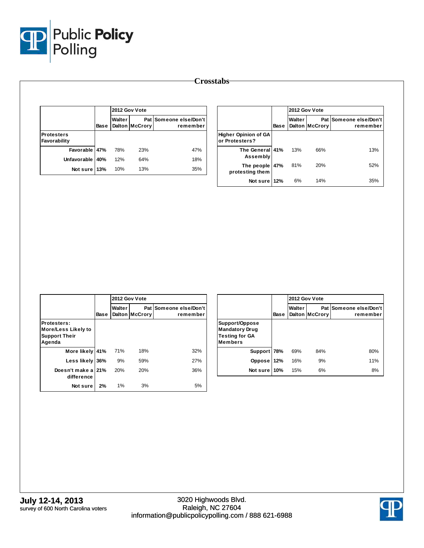

|                                   |      | 2012 Gov Vote |                |                                    |  |  |
|-----------------------------------|------|---------------|----------------|------------------------------------|--|--|
|                                   | Base | Walter        | Dalton McCrory | Pat Someone else/Don't<br>remember |  |  |
| <b>Protesters</b><br>Favorability |      |               |                |                                    |  |  |
| Favorable 47%                     |      | 78%           | 23%            | 47%                                |  |  |
| Unfavorable                       | 40%  | 12%           | 64%            | 18%                                |  |  |
| Not sure                          | 13%  | 10%           | 13%            | 35%                                |  |  |

|                                               |      | 2012 Gov Vote |                |                                    |  |
|-----------------------------------------------|------|---------------|----------------|------------------------------------|--|
|                                               | Base | Walter        | Dalton McCrory | Pat Someone else/Don't<br>remember |  |
| <b>Higher Opinion of GA</b><br>or Protesters? |      |               |                |                                    |  |
| The General 41%<br>Assembly                   |      | 13%           | 66%            | 13%                                |  |
| The people<br>protesting them                 | 47%  | 81%           | 20%            | 52%                                |  |
| Not sure                                      | 12%  | 6%            | 14%            | 35%                                |  |

|                                                                      |      | 2012 Gov Vote |                       |                                |  |
|----------------------------------------------------------------------|------|---------------|-----------------------|--------------------------------|--|
|                                                                      | Base | Walter        | Pat<br>Dalton McCrory | Someone else/Don't<br>remember |  |
| Protesters:<br>More/Less Likely to<br><b>Support Their</b><br>Agenda |      |               |                       |                                |  |
| More likely                                                          | 41%  | 71%           | 18%                   | 32%                            |  |
| Less likely                                                          | 36%  | 9%            | 59%                   | 27%                            |  |
| Doesn't make a 21%<br>difference                                     |      | 20%           | 20%                   | 36%                            |  |
| Not sure                                                             | 2%   | 1%            | 3%                    | 5%                             |  |

|                                                                                    |             | 2012 Gov Vote |                |                                    |  |  |
|------------------------------------------------------------------------------------|-------------|---------------|----------------|------------------------------------|--|--|
|                                                                                    | <b>Base</b> | Walter        | Dalton McCrory | Pat Someone else/Don't<br>remember |  |  |
| Support/Oppose<br><b>Mandatory Drug</b><br><b>Testing for GA</b><br><b>Members</b> |             |               |                |                                    |  |  |
| Support 78%                                                                        |             | 69%           | 84%            | 80%                                |  |  |
| <b>Oppose</b>                                                                      | 12%         | 16%           | 9%             | 11%                                |  |  |
| Not sure                                                                           | 10%         | 15%           | 6%             | 8%                                 |  |  |

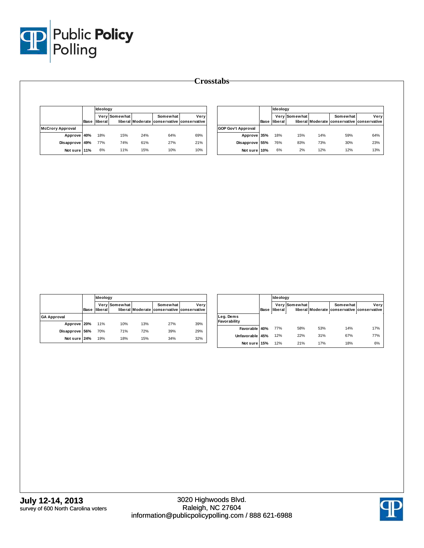

|                         |      |          | Ideology      |     |                                                        |      |  |  |
|-------------------------|------|----------|---------------|-----|--------------------------------------------------------|------|--|--|
|                         | Base | liberall | Very Somewhat |     | Somewhat<br>liberal Moderate conservative conservative | Very |  |  |
| <b>McCrory Approval</b> |      |          |               |     |                                                        |      |  |  |
| Approve 40%             |      | 18%      | 15%           | 24% | 64%                                                    | 69%  |  |  |
| Disapprove 49%          |      | 77%      | 74%           | 61% | 27%                                                    | 21%  |  |  |
| Not sure 11%            |      | 6%       | 11%           | 15% | 10%                                                    | 10%  |  |  |

|                           |      | Ideology       |               |     |                                                        |      |
|---------------------------|------|----------------|---------------|-----|--------------------------------------------------------|------|
|                           | Base | <b>liberal</b> | Very Somewhat |     | Somewhat<br>liberal Moderate conservative conservative | Very |
| <b>GOP Gov't Approval</b> |      |                |               |     |                                                        |      |
| Approve 35%               |      | 18%            | 15%           | 14% | 59%                                                    | 64%  |
| Disapprove 55%            |      | 76%            | 83%           | 73% | 30%                                                    | 23%  |
| Not sure                  | 10%  | 6%             | 2%            | 12% | 12%                                                    | 13%  |

|                    |      | Ideology |               |     |                                                        |      |  |
|--------------------|------|----------|---------------|-----|--------------------------------------------------------|------|--|
|                    | Base | liberal  | Very Somewhat |     | Somewhat<br>liberal Moderate conservative conservative | Very |  |
| <b>GA Approval</b> |      |          |               |     |                                                        |      |  |
| Approve 20%        |      | 11%      | 10%           | 13% | 27%                                                    | 39%  |  |
| Disapprove 56%     |      | 70%      | 71%           | 72% | 39%                                                    | 29%  |  |
| Not sure 24%       |      | 19%      | 18%           | 15% | 34%                                                    | 32%  |  |

|                           |             | Ideology |               |     |                                                        |      |
|---------------------------|-------------|----------|---------------|-----|--------------------------------------------------------|------|
|                           | <b>Base</b> | liberal  | Very Somewhat |     | Somewhat<br>liberal Moderate conservative conservative | Very |
| Leg. Dems<br>Favorability |             |          |               |     |                                                        |      |
| Favorable 40%             |             | 77%      | 58%           | 53% | 14%                                                    | 17%  |
| Unfavorable               | 45%         | 12%      | 22%           | 31% | 67%                                                    | 77%  |
| Not sure                  | 15%         | 12%      | 21%           | 17% | 18%                                                    | 6%   |

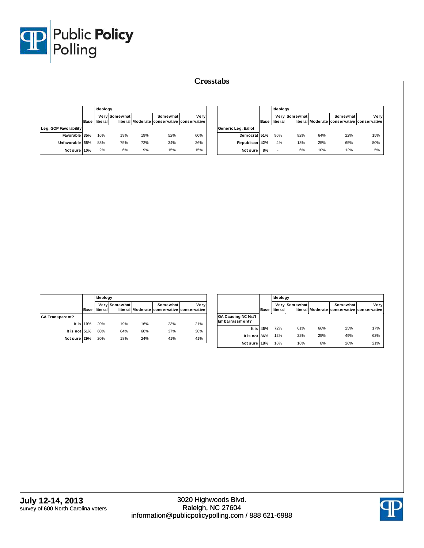

|                       |      | Ideology |               |     |                                                        |      |                     |    | Ideology     |               |     |                                                        |      |
|-----------------------|------|----------|---------------|-----|--------------------------------------------------------|------|---------------------|----|--------------|---------------|-----|--------------------------------------------------------|------|
|                       | Base | liberal  | Very Somewhat |     | Somewhat<br>liberal Moderate conservative conservative | Very |                     |    | Base liberal | Very Somewhat |     | Somewhat<br>liberal Moderate conservative conservative | Very |
| Leg. GOP Favorability |      |          |               |     |                                                        |      | Generic Leg. Ballot |    |              |               |     |                                                        |      |
| Favorable 35%         |      | 16%      | 19%           | 19% | 52%                                                    | 60%  | Democrat 51%        |    | 96%          | 82%           | 64% | 22%                                                    | 15%  |
| Unfavorable 55%       |      | 83%      | 75%           | 72% | 34%                                                    | 26%  | Republican 42%      |    | 4%           | 13%           | 25% | 65%                                                    | 80%  |
| Not sure 10%          |      | 2%       | 6%            | 9%  | 15%                                                    | 15%  | Not sure            | 8% | ٠            | 6%            | 10% | 12%                                                    | 5%   |

|                        |           |          | Ideology      |     |                                                        |      |  |  |
|------------------------|-----------|----------|---------------|-----|--------------------------------------------------------|------|--|--|
|                        | Base      | lliberal | Very Somewhat |     | Somewhat<br>liberal Moderate conservative conservative | Very |  |  |
| <b>GA Transparent?</b> |           |          |               |     |                                                        |      |  |  |
|                        | It is 19% | 20%      | 19%           | 16% | 23%                                                    | 21%  |  |  |
| It is not 51%          |           | 60%      | 64%           | 60% | 37%                                                    | 38%  |  |  |
| Not sure               | 29%       | 20%      | 18%           | 24% | 41%                                                    | 41%  |  |  |

|                                              |             | Ideology |               |     |                                                        |      |  |  |
|----------------------------------------------|-------------|----------|---------------|-----|--------------------------------------------------------|------|--|--|
|                                              | <b>Base</b> | liberal  | Very Somewhat |     | Somewhat<br>liberal Moderate conservative conservative | Very |  |  |
| <b>GA Causing NC Nat'l</b><br>Embarrassment? |             |          |               |     |                                                        |      |  |  |
|                                              | It is 46%   | 72%      | 61%           | 66% | 25%                                                    | 17%  |  |  |
| It is not 36%                                |             | 12%      | 22%           | 25% | 49%                                                    | 62%  |  |  |
| Not sure 18%                                 |             | 16%      | 16%           | 8%  | 26%                                                    | 21%  |  |  |

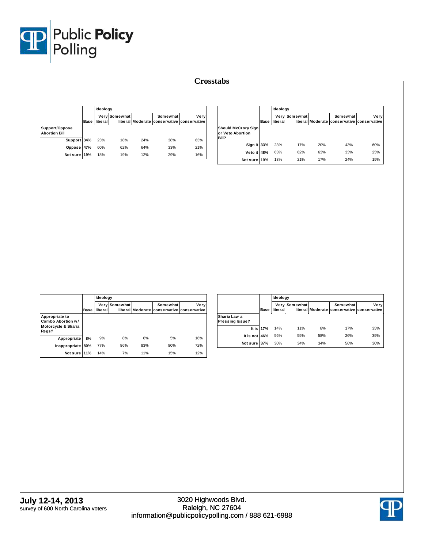

|                                        |      | Ideology |               |     |                                                        |      |
|----------------------------------------|------|----------|---------------|-----|--------------------------------------------------------|------|
|                                        | Base | liberall | Very Somewhat |     | Somewhat<br>liberal Moderate conservative conservative | Very |
| Support/Oppose<br><b>Abortion Bill</b> |      |          |               |     |                                                        |      |
| Support 34%                            |      | 23%      | 18%           | 24% | 38%                                                    | 63%  |
| <b>Oppose</b>                          | 47%  | 60%      | 62%           | 64% | 33%                                                    | 21%  |
| Not sure 19%                           |      | 18%      | 19%           | 12% | 29%                                                    | 16%  |

|                                                         |      |         |               | Ideology |                                                        |      |  |  |  |
|---------------------------------------------------------|------|---------|---------------|----------|--------------------------------------------------------|------|--|--|--|
|                                                         | Base | liberal | Very Somewhat |          | Somewhat<br>liberal Moderate conservative conservative | Very |  |  |  |
| <b>Should McCrory Sign</b><br>or Veto Abortion<br>Bill? |      |         |               |          |                                                        |      |  |  |  |
| Sign it 33%                                             |      | 23%     | 17%           | 20%      | 43%                                                    | 60%  |  |  |  |
| Veto it                                                 | 48%  | 63%     | 62%           | 63%      | 33%                                                    | 25%  |  |  |  |
| Not sure 19%                                            |      | 13%     | 21%           | 17%      | 24%                                                    | 15%  |  |  |  |

|                                                                     |      | Ideology |               |     |                                                        |      |
|---------------------------------------------------------------------|------|----------|---------------|-----|--------------------------------------------------------|------|
|                                                                     | Base | liberal! | Very Somewhat |     | Somewhat<br>liberal Moderate conservative conservative | Very |
| Appropriate to<br>Combo Abortion w/<br>Motorcycle & Sharia<br>Regs? |      |          |               |     |                                                        |      |
| Appropriate                                                         | 8%   | 9%       | 8%            | 6%  | 5%                                                     | 16%  |
| Inappropriate                                                       | 80%  | 77%      | 86%           | 83% | 80%                                                    | 72%  |
| Not sure 11%                                                        |      | 14%      | 7%            | 11% | 15%                                                    | 12%  |

|                                 |           | Ideology |               |     |                                                        |      |
|---------------------------------|-----------|----------|---------------|-----|--------------------------------------------------------|------|
|                                 | Base      | liberal  | Very Somewhat |     | Somewhat<br>liberal Moderate conservative conservative | Verv |
| Sharia Law a<br>Pressing Issue? |           |          |               |     |                                                        |      |
|                                 | It is 17% | 14%      | 11%           | 8%  | 17%                                                    | 35%  |
| It is not 46%                   |           | 56%      | 55%           | 58% | 26%                                                    | 35%  |
| Not sure                        | 37%       | 30%      | 34%           | 34% | 56%                                                    | 30%  |

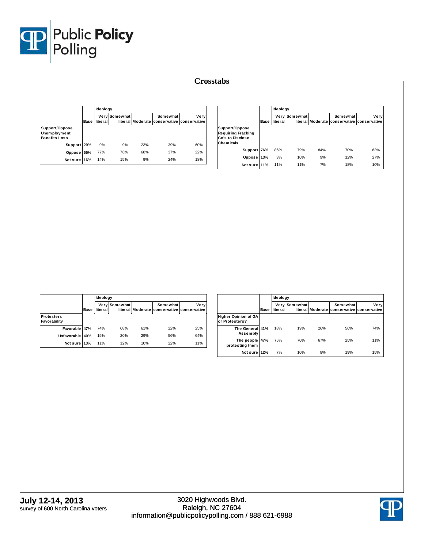

|                                                        |      |          |               |     |                                                        | Ideology |  |  |  |  |  |  |
|--------------------------------------------------------|------|----------|---------------|-----|--------------------------------------------------------|----------|--|--|--|--|--|--|
|                                                        | Base | liberal! | Very Somewhat |     | Somewhat<br>liberal Moderate conservative conservative | Very     |  |  |  |  |  |  |
| Support/Oppose<br>Unemployment<br><b>Benefits Loss</b> |      |          |               |     |                                                        |          |  |  |  |  |  |  |
| Support 29%                                            |      | 9%       | 9%            | 23% | 39%                                                    | 60%      |  |  |  |  |  |  |
| Oppose                                                 | 55%  | 77%      | 76%           | 68% | 37%                                                    | 22%      |  |  |  |  |  |  |
| Not sure 16%                                           |      | 14%      | 15%           | 9%  | 24%                                                    | 18%      |  |  |  |  |  |  |

|                                                                                     |      | Ideology |               |     |                                                        |      |
|-------------------------------------------------------------------------------------|------|----------|---------------|-----|--------------------------------------------------------|------|
|                                                                                     | Base | liberal  | Very Somewhat |     | Somewhat<br>liberal Moderate conservative conservative | Very |
| Support/Oppose<br><b>Requiring Fracking</b><br>Co's to Disclose<br><b>Chemicals</b> |      |          |               |     |                                                        |      |
| Support 76%                                                                         |      | 86%      | 79%           | 84% | 70%                                                    | 63%  |
| Oppose                                                                              | 13%  | 3%       | 10%           | 9%  | 12%                                                    | 27%  |
| Not sure                                                                            | 11%  | 11%      | 11%           | 7%  | 18%                                                    | 10%  |

|                                   |             |         | Ideology      |     |                                                        |      |  |  |
|-----------------------------------|-------------|---------|---------------|-----|--------------------------------------------------------|------|--|--|
|                                   | <b>Base</b> | liberal | Very Somewhat |     | Somewhat<br>liberal Moderate conservative conservative | Very |  |  |
| <b>Protesters</b><br>Favorability |             |         |               |     |                                                        |      |  |  |
| Favorable 47%                     |             | 74%     | 68%           | 61% | 22%                                                    | 25%  |  |  |
| Unfavorable I                     | 40%         | 15%     | 20%           | 29% | 56%                                                    | 64%  |  |  |
| Not sure 13%                      |             | 11%     | 12%           | 10% | 22%                                                    | 11%  |  |  |

|                                               |      | Ideology        |                 |     |                                                        |      |
|-----------------------------------------------|------|-----------------|-----------------|-----|--------------------------------------------------------|------|
|                                               | Base | Very<br>liberal | <b>Somewhat</b> |     | Somewhat<br>liberal Moderate conservative conservative | Very |
| <b>Higher Opinion of GA</b><br>or Protesters? |      |                 |                 |     |                                                        |      |
| The General 41%<br>Assembly                   |      | 18%             | 19%             | 26% | 56%                                                    | 74%  |
| The people  <br>protesting them               | 47%  | 75%             | 70%             | 67% | 25%                                                    | 11%  |
| Not sure                                      | 12%  | 7%              | 10%             | 8%  | 19%                                                    | 15%  |

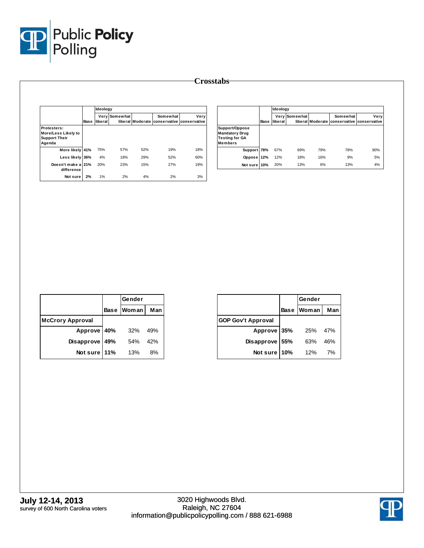

|                                                                      |      |         | <b>Ideology</b> |     |                                           |                      |
|----------------------------------------------------------------------|------|---------|-----------------|-----|-------------------------------------------|----------------------|
|                                                                      | Base | liberal | Very Somewhat   |     | Somewhat<br>liberal Moderate conservative | Very<br>conservative |
| Protesters:<br>More/Less Likely to<br><b>Support Their</b><br>Agenda |      |         |                 |     |                                           |                      |
| More likely 41%                                                      |      | 75%     | 57%             | 52% | 19%                                       | 18%                  |
| Less likely 36%                                                      |      | 4%      | 18%             | 29% | 52%                                       | 60%                  |
| Doesn't make a 21%<br>difference                                     |      | 20%     | 23%             | 15% | 27%                                       | 19%                  |
| Not sure                                                             | 2%   | 1%      | 2%              | 4%  | 2%                                        | 3%                   |

|                                                                                    |      | Ideology        |          |     |                                                        |      |
|------------------------------------------------------------------------------------|------|-----------------|----------|-----|--------------------------------------------------------|------|
|                                                                                    | Base | Verv<br>liberal | Somewhat |     | Somewhat<br>liberal Moderate conservative conservative | Very |
| Support/Oppose<br><b>Mandatory Drug</b><br><b>Testing for GA</b><br><b>Members</b> |      |                 |          |     |                                                        |      |
| Support 78%                                                                        |      | 67%             | 69%      | 79% | 78%                                                    | 90%  |
| Oppose                                                                             | 12%  | 12%             | 18%      | 16% | 9%                                                     | 5%   |
| Not sure                                                                           | 10%  | 20%             | 13%      | 6%  | 13%                                                    | 4%   |

|                         |     | Gender     |       |
|-------------------------|-----|------------|-------|
|                         |     | Base Woman | Man I |
| <b>McCrory Approval</b> |     |            |       |
| Approve 40%             |     | 32%        | 49%   |
| Disapprove              | 49% | 54%        | 42%   |
| Not sure                | 11% | 13%        | 8%    |

|                           |             | Gender |     |
|---------------------------|-------------|--------|-----|
|                           | <b>Base</b> | Woman  | Man |
| <b>GOP Gov't Approval</b> |             |        |     |
| Approve 35%               |             | 25%    | 47% |
| Disapprove                | 155%        | 63%    | 46% |
| Not sure                  | 10%         | 12%    | 7%  |

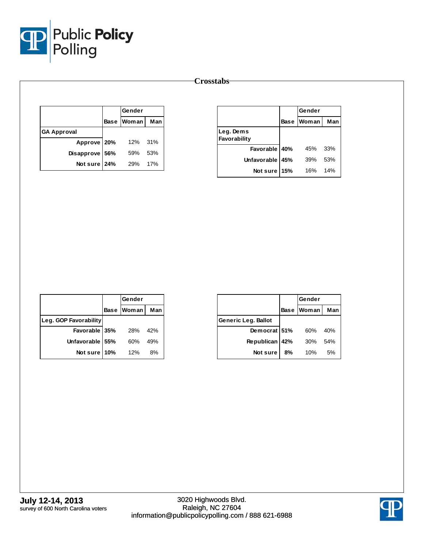

|                    | Gender     |      |
|--------------------|------------|------|
|                    | Base Woman | Man  |
| <b>GA Approval</b> |            |      |
| Approve 20%        | 12%        | -31% |
| Disapprove 56%     | 59%        | 53%  |
| Not sure 24%       | <b>29%</b> | 17%  |

|                           |             | Gender |     |
|---------------------------|-------------|--------|-----|
|                           | <b>Base</b> | Woman  | Man |
| Leg. Dems<br>Favorability |             |        |     |
| Favorable 40%             |             | 45%    | 33% |
| Unfavorable               | 45%         | 39%    | 53% |
| Not sure                  | <b>15%</b>  | 16%    | 14% |

|                       | Gender     |     |
|-----------------------|------------|-----|
|                       | Base Woman | Man |
| Leg. GOP Favorability |            |     |
| Favorable 35%         | 28%        | 42% |
| Unfavorable 55%       | 60%        | 49% |
| Not sure 10%          | 12%        | 8%  |

|                     |             | Gender |     |
|---------------------|-------------|--------|-----|
|                     | <b>Base</b> | Woman  | Man |
| Generic Leg. Ballot |             |        |     |
| Democrat 51%        |             | 60%    | 40% |
| Republican          | 42%         | 30%    | 54% |
| Not sure            | 8%          | 10%    | 5%  |

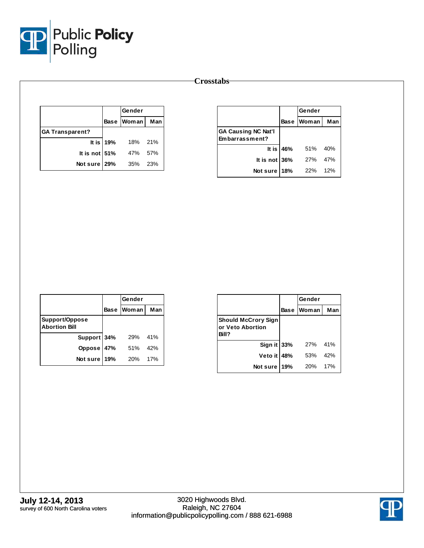

|                        | Gender              |     |  |
|------------------------|---------------------|-----|--|
|                        | Base Woman          | Man |  |
| <b>GA Transparent?</b> |                     |     |  |
|                        | It is   19% 18% 21% |     |  |
| It is not $51%$        | 47%                 | 57% |  |
| Not sure 29%           | 35%                 | 23% |  |

|                                              |             | Gender     |     |
|----------------------------------------------|-------------|------------|-----|
|                                              |             | Base Woman | Man |
| <b>GA Causing NC Nat'l</b><br>Embarrassment? |             |            |     |
|                                              | It is $46%$ | 51% 40%    |     |
| It is not $36%$                              |             | 27%        | 47% |
| Not sure 18%                                 |             | 22%        | 12% |

|                                        | Gender            |     |
|----------------------------------------|-------------------|-----|
|                                        | <b>Base Woman</b> | Man |
| Support/Oppose<br><b>Abortion Bill</b> |                   |     |
| Support 34%                            | 29%               | 41% |
| Oppose 47%                             | 51%               | 42% |
| Not sure 19%                           | 20%               | 17% |

|                                                         |     | Gender       |     |
|---------------------------------------------------------|-----|--------------|-----|
|                                                         |     | Base   Woman | Man |
| <b>Should McCrory Sign</b><br>or Veto Abortion<br>Bill? |     |              |     |
| Sign it 33%                                             |     | 27% 41%      |     |
| Veto it 48%                                             |     | 53%          | 42% |
| Not sure                                                | 19% | 20%          | 17% |

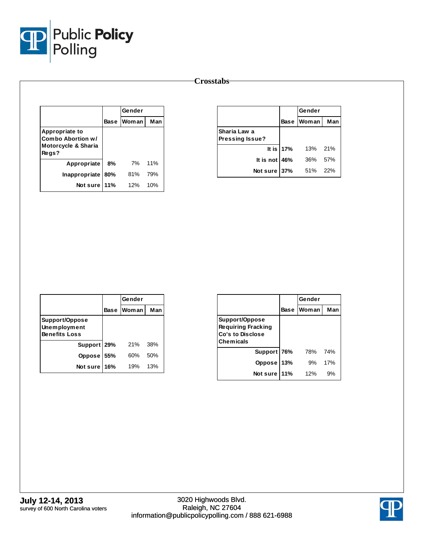

|                                                                            |      | Gender |     |
|----------------------------------------------------------------------------|------|--------|-----|
|                                                                            | Base | Woman  | Man |
| Appropriate to<br><b>Combo Abortion w/</b><br>Motorcycle & Sharia<br>Regs? |      |        |     |
| Appropriate                                                                | 8%   | 7%     | 11% |
| Inappropriate                                                              | 80%  | 81%    | 79% |
| Not sure                                                                   | 11%  | 12%    | 10% |

|                                        |           | Gender     |     |  |
|----------------------------------------|-----------|------------|-----|--|
|                                        |           | Base Woman | Man |  |
| Sharia Law a<br><b>Pressing Issue?</b> |           |            |     |  |
|                                        | It is 17% | 13% 21%    |     |  |
| It is not 46%                          |           | 36%        | 57% |  |
| Not sure 37%                           |           | 51% 22%    |     |  |

|                                                        |      | Gender |     |  |
|--------------------------------------------------------|------|--------|-----|--|
|                                                        | Base | Woman  | Man |  |
| Support/Oppose<br>Unemployment<br><b>Benefits Loss</b> |      |        |     |  |
| Support 29%                                            |      | 21%    | 38% |  |
| Oppose                                                 | 55%  | 60%    | 50% |  |
| Not sure                                               | 16%  | 19%    | 13% |  |

|                                                                       |             | Gender       |     |
|-----------------------------------------------------------------------|-------------|--------------|-----|
|                                                                       | <b>Base</b> | <b>Woman</b> | Man |
| Support/Oppose<br>Requiring Fracking<br>Co's to Disclose<br>Chemicals |             |              |     |
| Support 76%                                                           |             | 78%          | 74% |
| Oppose                                                                | 13%         | 9%           | 17% |
| Not sure                                                              | 11%         | 12%          | 9%  |

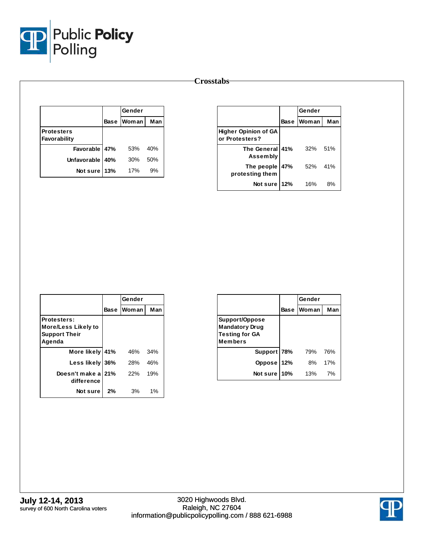

| <b>Crosstabs</b> |  |
|------------------|--|
|------------------|--|

|                                   |     | Gender            |     |
|-----------------------------------|-----|-------------------|-----|
|                                   |     | <b>Base Woman</b> | Man |
| <b>Protesters</b><br>Favorability |     |                   |     |
| Favorable 47%                     |     | 53%               | 40% |
| Unfavorable                       | 40% | 30%               | 50% |
| Not sure                          | 13% | 17%               | 9%  |

|                                               |      | Gender       |     |
|-----------------------------------------------|------|--------------|-----|
|                                               | Base | <b>Woman</b> | Man |
| <b>Higher Opinion of GA</b><br>or Protesters? |      |              |     |
| The General 41%<br>Assembly                   |      | 32%          | 51% |
| The people<br>protesting them                 | 47%  | 52%          | 41% |
| Not sure                                      | 12%  | 16%          | 8%  |

|                                                                                    |             | Gender       |     |
|------------------------------------------------------------------------------------|-------------|--------------|-----|
|                                                                                    | <b>Base</b> | <b>Woman</b> | Man |
| <b>Protesters:</b><br><b>More/Less Likely to</b><br><b>Support Their</b><br>Agenda |             |              |     |
| More likely 41%                                                                    |             | 46%          | 34% |
| Less likely 36%                                                                    |             | 28%          | 46% |
| Doesn't make a 21%<br>difference                                                   |             | 22%          | 19% |
| Notsure                                                                            | 2%          | 3%           | 1%  |

|                                                                                    |             | Gender       |     |
|------------------------------------------------------------------------------------|-------------|--------------|-----|
|                                                                                    | <b>Base</b> | <b>Woman</b> | Man |
| Support/Oppose<br><b>Mandatory Drug</b><br><b>Testing for GA</b><br><b>Members</b> |             |              |     |
| Support 78%                                                                        |             | 79%          | 76% |
| Oppose                                                                             | 12%         | 8%           | 17% |
| Not sure                                                                           | 10%         | 13%          | 7%  |

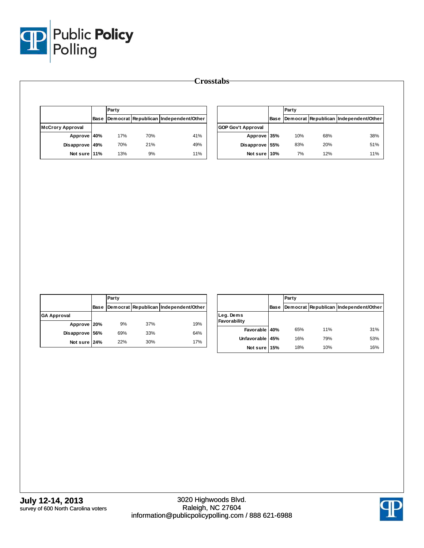

|                         |             | Party |     |                                       |                           | Party |     |                                            |
|-------------------------|-------------|-------|-----|---------------------------------------|---------------------------|-------|-----|--------------------------------------------|
|                         | <b>Base</b> |       |     | Democrat Republican Independent/Other |                           |       |     | Base Democrat Republican Independent/Other |
| <b>McCrory Approval</b> |             |       |     |                                       | <b>GOP Gov't Approval</b> |       |     |                                            |
| Approve 40%             |             | 17%   | 70% | 41%                                   | Approve 35%               | 10%   | 68% | 38%                                        |
| Disapprove 49%          |             | 70%   | 21% | 49%                                   | Disapprove 55%            | 83%   | 20% | 51%                                        |
| Not sure 11%            |             | 13%   | 9%  | 11%                                   | Not sure 10%              | 7%    | 12% | 11%                                        |

|                                |      | Party |     |                                       |  |  |
|--------------------------------|------|-------|-----|---------------------------------------|--|--|
|                                | Base |       |     | Democrat Republican Independent/Other |  |  |
| <b>GA Approval</b>             |      |       |     |                                       |  |  |
| Approve 20%                    |      | 9%    | 37% | 19%                                   |  |  |
| Disapprove 56%<br>Not sure 24% |      | 69%   | 33% | 64%                                   |  |  |
|                                |      | 22%   | 30% | 17%                                   |  |  |

|                           |             | Party |     |                                       |  |  |  |
|---------------------------|-------------|-------|-----|---------------------------------------|--|--|--|
|                           | <b>Base</b> |       |     | Democrat Republican Independent/Other |  |  |  |
| Leg. Dems<br>Favorability |             |       |     |                                       |  |  |  |
| Favorable 40%             |             | 65%   | 11% | 31%                                   |  |  |  |
| Unfavorable               | 45%         | 16%   | 79% | 53%                                   |  |  |  |
| Not sure 15%              |             | 18%   | 10% | 16%                                   |  |  |  |

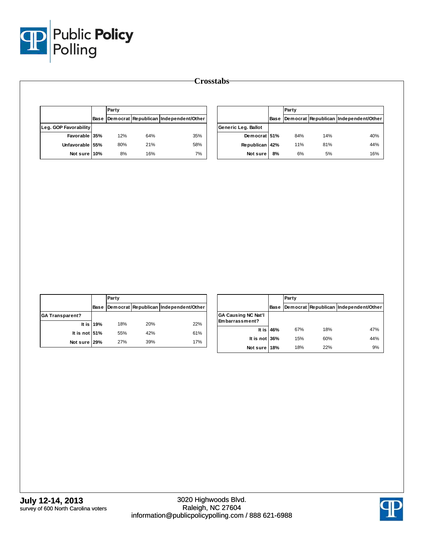

|                       | Party |     |                                            |                     |    | Party |     |                                            |
|-----------------------|-------|-----|--------------------------------------------|---------------------|----|-------|-----|--------------------------------------------|
|                       |       |     | Base Democrat Republican Independent/Other |                     |    |       |     | Base Democrat Republican Independent/Other |
| Leg. GOP Favorability |       |     |                                            | Generic Leg. Ballot |    |       |     |                                            |
| Favorable 35%         | 12%   | 64% | 35%                                        | Democrat 51%        |    | 84%   | 14% | 40%                                        |
| Unfavorable 55%       | 80%   | 21% | 58%                                        | Republican 42%      |    | 11%   | 81% | 44%                                        |
| Not sure 10%          | 8%    | 16% | 7%                                         | Not sure            | 8% | 6%    | 5%  | 16%                                        |

|                        |             | Party |     |                                       |
|------------------------|-------------|-------|-----|---------------------------------------|
|                        | <b>Base</b> |       |     | Democrat Republican Independent/Other |
| <b>GA Transparent?</b> |             |       |     |                                       |
|                        | It is $19%$ | 18%   | 20% | 22%                                   |
| It is not 51%          |             | 55%   | 42% | 61%                                   |
| Not sure 29%           |             | 27%   | 39% | 17%                                   |

|                                              |            | Party |     |                                       |  |  |
|----------------------------------------------|------------|-------|-----|---------------------------------------|--|--|
|                                              | Base       |       |     | Democrat Republican Independent/Other |  |  |
| <b>GA Causing NC Nat'l</b><br>Embarrassment? |            |       |     |                                       |  |  |
|                                              | It is 146% | 67%   | 18% | 47%                                   |  |  |
| It is not 36%                                |            | 15%   | 60% | 44%                                   |  |  |
| Not sure 18%                                 |            | 18%   | 22% | 9%                                    |  |  |

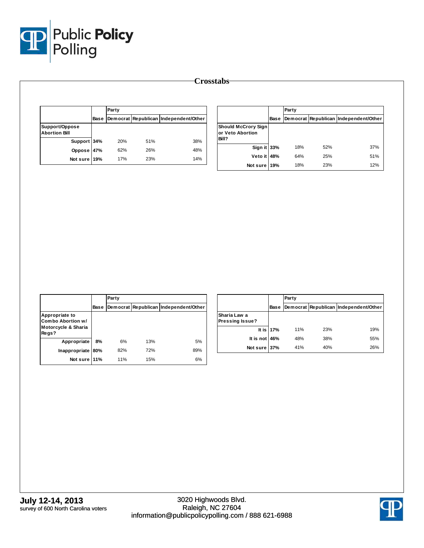

|                                        |      | Party |     |                                       |  |
|----------------------------------------|------|-------|-----|---------------------------------------|--|
|                                        | Base |       |     | Democrat Republican Independent/Other |  |
| Support/Oppose<br><b>Abortion Bill</b> |      |       |     |                                       |  |
| Support 34%                            |      | 20%   | 51% | 38%                                   |  |
| Oppose 47%                             |      | 62%   | 26% | 48%                                   |  |
| Not sure 19%                           |      | 17%   | 23% | 14%                                   |  |

|                                                         |             | Party |     |                                       |  |
|---------------------------------------------------------|-------------|-------|-----|---------------------------------------|--|
|                                                         | <b>Base</b> |       |     | Democrat Republican Independent/Other |  |
| <b>Should McCrory Sign</b><br>or Veto Abortion<br>Bill? |             |       |     |                                       |  |
| Sign it 33%                                             |             | 18%   | 52% | 37%                                   |  |
| Veto it                                                 | 48%         | 64%   | 25% | 51%                                   |  |
| Not sure                                                | 19%         | 18%   | 23% | 12%                                   |  |

|                                                                     |      | Party |     |                                       |  |
|---------------------------------------------------------------------|------|-------|-----|---------------------------------------|--|
|                                                                     | Base |       |     | Democrat Republican Independent/Other |  |
| Appropriate to<br>Combo Abortion w/<br>Motorcycle & Sharia<br>Regs? |      |       |     |                                       |  |
| Appropriate                                                         | 8%   | 6%    | 13% | 5%                                    |  |
| Inappropriate                                                       | 80%  | 82%   | 72% | 89%                                   |  |
| Not sure 11%                                                        |      | 11%   | 15% | 6%                                    |  |

|                                        |             | Party |     |                                       |
|----------------------------------------|-------------|-------|-----|---------------------------------------|
|                                        | Base        |       |     | Democrat Republican Independent/Other |
| Sharia Law a<br><b>Pressing Issue?</b> |             |       |     |                                       |
|                                        | It is $17%$ | 11%   | 23% | 19%                                   |
| It is not 46%                          |             | 48%   | 38% | 55%                                   |
| Not sure 37%                           |             | 41%   | 40% | 26%                                   |

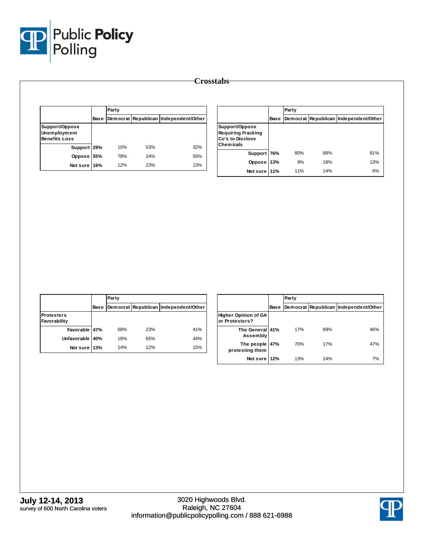

|                                                        |             | Party |     |                                       |  |
|--------------------------------------------------------|-------------|-------|-----|---------------------------------------|--|
|                                                        | <b>Base</b> |       |     | Democrat Republican Independent/Other |  |
| Support/Oppose<br>Unemployment<br><b>Benefits Loss</b> |             |       |     |                                       |  |
| Support                                                | 29%         | 10%   | 53% | 32%                                   |  |
| Oppose                                                 | 55%         | 78%   | 24% | 55%                                   |  |
| Not sure 16%                                           |             | 12%   | 23% | 13%                                   |  |

|                                                                              |      | Party |     |                                       |  |
|------------------------------------------------------------------------------|------|-------|-----|---------------------------------------|--|
|                                                                              | Base |       |     | Democrat Republican Independent/Other |  |
| Support/Oppose<br><b>Requiring Fracking</b><br>Co's to Disclose<br>Chemicals |      |       |     |                                       |  |
| Support 76%                                                                  |      | 80%   | 68% | 81%                                   |  |
| Oppose                                                                       | 13%  | 9%    | 18% | 13%                                   |  |
| Not sure 11%                                                                 |      | 11%   | 14% | 6%                                    |  |

|                                   |      | Party |     |                                       |  |  |
|-----------------------------------|------|-------|-----|---------------------------------------|--|--|
|                                   | Base |       |     | Democrat Republican Independent/Other |  |  |
| <b>Protesters</b><br>Favorability |      |       |     |                                       |  |  |
| Favorable 47%                     |      | 68%   | 23% | 41%                                   |  |  |
| Unfavorable                       | 40%  | 18%   | 65% | 44%                                   |  |  |
| Not sure 13%                      |      | 14%   | 12% | 15%                                   |  |  |

|                                        |      | Party |     |                                       |  |
|----------------------------------------|------|-------|-----|---------------------------------------|--|
|                                        | Base |       |     | Democrat Republican Independent/Other |  |
| Higher Opinion of GA<br>or Protesters? |      |       |     |                                       |  |
| The General 41%<br>Assembly            |      | 17%   | 69% | 46%                                   |  |
| The people<br>protesting them          | 47%  | 70%   | 17% | 47%                                   |  |
| Not sure 12%                           |      | 13%   | 14% | 7%                                    |  |

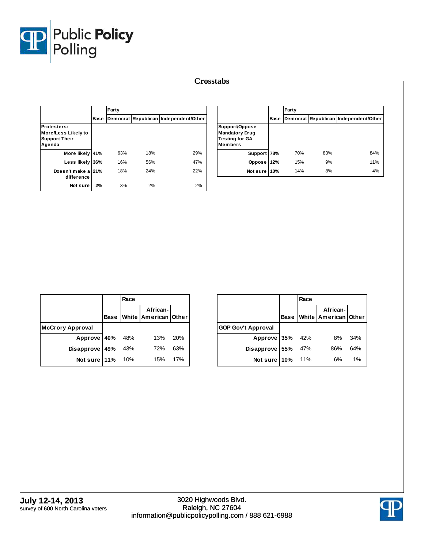

|                                                                             |      | Party |     |                                       |  |
|-----------------------------------------------------------------------------|------|-------|-----|---------------------------------------|--|
|                                                                             | Base |       |     | Democrat Republican Independent/Other |  |
| Protesters:<br><b>More/Less Likely to</b><br><b>Support Their</b><br>Agenda |      |       |     |                                       |  |
| More likely 41%                                                             |      | 63%   | 18% | 29%                                   |  |
| Less likely 36%                                                             |      | 16%   | 56% | 47%                                   |  |
| Doesn't make a 21%<br>difference                                            |      | 18%   | 24% | 22%                                   |  |
| Not sure                                                                    | 2%   | 3%    | 2%  | 2%                                    |  |

|                                                                                    |      | Party |     |                                       |
|------------------------------------------------------------------------------------|------|-------|-----|---------------------------------------|
|                                                                                    | Base |       |     | Democrat Republican Independent/Other |
| Support/Oppose<br><b>Mandatory Drug</b><br><b>Testing for GA</b><br><b>Members</b> |      |       |     |                                       |
| Support 78%                                                                        |      | 70%   | 83% | 84%                                   |
| Oppose                                                                             | 12%  | 15%   | 9%  | 11%                                   |
| Not sure 10%                                                                       |      | 14%   | 8%  | 4%                                    |

|                         |             | Race |                                  |     |
|-------------------------|-------------|------|----------------------------------|-----|
|                         | <b>Base</b> |      | African-<br>White American Other |     |
| <b>McCrory Approval</b> |             |      |                                  |     |
| Approve 40% 48%         |             |      | 13%                              | 20% |
| Disapprove 49%          |             | 43%  | 72%                              | 63% |
| Not sure   11% 10%      |             |      | 15%                              | 17% |

|                           |      | Race |                                  |     |
|---------------------------|------|------|----------------------------------|-----|
|                           | Base |      | African-<br>White American Other |     |
| <b>GOP Gov't Approval</b> |      |      |                                  |     |
| Approve 35% 42%           |      |      | 8%                               | 34% |
| Disapprove $ 55%$         |      | 47%  | 86%                              | 64% |
| Not sure 10%              |      | 11%  | 6%                               | 1%  |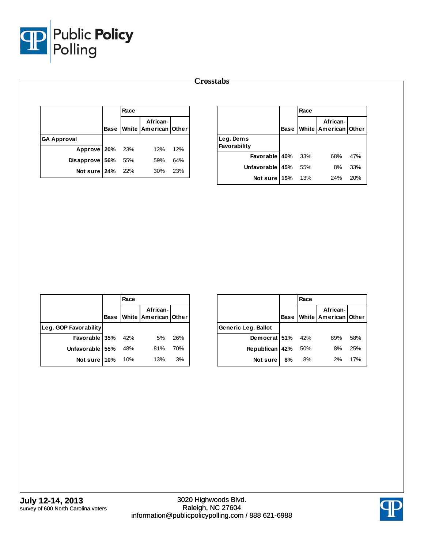

|                    |      | Race |                                      |     |              |             | Race |                                  |     |
|--------------------|------|------|--------------------------------------|-----|--------------|-------------|------|----------------------------------|-----|
|                    | Base |      | African-<br>White   American   Other |     |              | <b>Base</b> |      | African-<br>White American Other |     |
| <b>GA Approval</b> |      |      |                                      |     | Leg. Dems    |             |      |                                  |     |
| Approve 20%        |      | 23%  | 12%                                  | 12% | Favorability |             |      |                                  |     |
| <b>Disapprove</b>  | 56%  | 55%  | 59%                                  | 64% | Favorable    | 40%         | 33%  | 68%                              | 47% |
| Not sure $24%$     |      | 22%  | 30%                                  | 23% | Unfavorable  | 45%         | 55%  | 8%                               | 33% |
|                    |      |      |                                      |     | Not sure 15% |             | 13%  | 24%                              | 20% |

|                       |             | Race |                                  |     |
|-----------------------|-------------|------|----------------------------------|-----|
|                       | <b>Base</b> |      | African-<br>White American Other |     |
| Leg. GOP Favorability |             |      |                                  |     |
| Favorable 35% 42%     |             |      | 5%                               | 26% |
| Unfavorable 55%       |             | 48%  | 81%                              | 70% |
| Not sure 10%          |             | 10%  | 13%                              | 3%  |

|                     |             | Race |                                  |     |
|---------------------|-------------|------|----------------------------------|-----|
|                     | <b>Base</b> |      | African-<br>White American Other |     |
| Generic Leg. Ballot |             |      |                                  |     |
| Democrat $51\%$ 42% |             |      | 89%                              | 58% |
| Republican 42%      |             | 50%  | 8%                               | 25% |
| Not sure            | 8%          | 8%   | 2%                               | 17% |

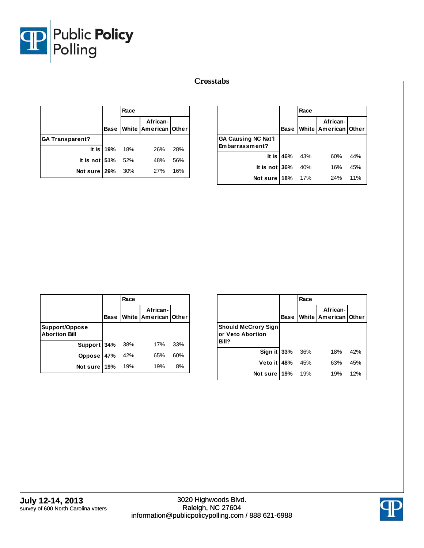

|                        |             | Race |                                  |     |  |  |
|------------------------|-------------|------|----------------------------------|-----|--|--|
|                        | Base        |      | African-<br>White American Other |     |  |  |
| <b>GA Transparent?</b> |             |      |                                  |     |  |  |
|                        | It is $19%$ | 18%  | 26%                              | 28% |  |  |
| It is not $151%$       |             | 52%  | 48%                              | 56% |  |  |
| Not sure 29%           |             | 30%  | 27%                              | 16% |  |  |

|                                              |                       | Race |                                         |     |
|----------------------------------------------|-----------------------|------|-----------------------------------------|-----|
|                                              | Base                  |      | African-<br><b>White American Other</b> |     |
| <b>GA Causing NC Nat'l</b><br>Embarrassment? |                       |      |                                         |     |
|                                              | It is $ 46\% - 43\% $ |      | 60%                                     | 44% |
| It is not $36%$                              |                       | 40%  | 16%                                     | 45% |
| Not sure   18% 17%                           |                       |      | 24%                                     | 11% |

|                                        |      | Race |                                      |     |
|----------------------------------------|------|------|--------------------------------------|-----|
|                                        | Base |      | African-<br>White   American   Other |     |
| Support/Oppose<br><b>Abortion Bill</b> |      |      |                                      |     |
| Support 34% 38%                        |      |      | 17%                                  | 33% |
| Oppose 47%                             |      | 42%  | 65%                                  | 60% |
| Not sure 19%                           |      | 19%  | 19%                                  | 8%  |

|                                                         |      | Race  |                                      |     |  |
|---------------------------------------------------------|------|-------|--------------------------------------|-----|--|
|                                                         | Base |       | African-<br>White   American   Other |     |  |
| <b>Should McCrory Sign</b><br>or Veto Abortion<br>Bill? |      |       |                                      |     |  |
| Sign it $33%$                                           |      | - 36% | 18%                                  | 42% |  |
| Veto it 48%                                             |      | 45%   | 63%                                  | 45% |  |
| Not sure 19%                                            |      | 19%   | 19%                                  | 12% |  |

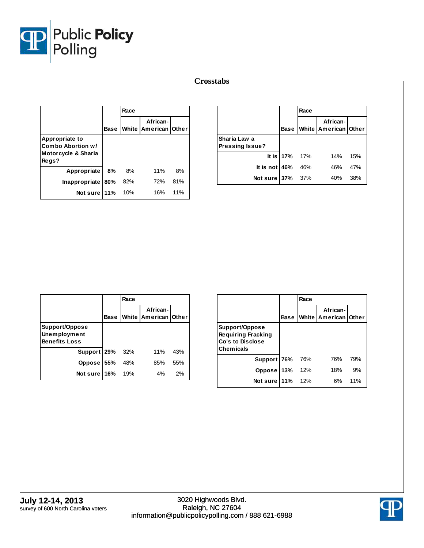

|                                                                     |             | Race |                                      |     |
|---------------------------------------------------------------------|-------------|------|--------------------------------------|-----|
|                                                                     | <b>Base</b> |      | African-<br>White   American   Other |     |
| Appropriate to<br>Combo Abortion w/<br>Motorcycle & Sharia<br>Regs? |             |      |                                      |     |
| Appropriate                                                         | 8%          | 8%   | 11%                                  | 8%  |
| Inappropriate                                                       | 80%         | 82%  | 72%                                  | 81% |
| Not sure 11%                                                        |             | 10%  | 16%                                  | 11% |

|                                        |                  | Race |                                       |     |  |  |
|----------------------------------------|------------------|------|---------------------------------------|-----|--|--|
|                                        |                  |      | African-<br>Base White American Other |     |  |  |
| Sharia Law a<br><b>Pressing Issue?</b> |                  |      |                                       |     |  |  |
|                                        | It is $17\%$ 17% |      | 14%                                   | 15% |  |  |
| It is not $46\%$ 46%                   |                  |      | 46%                                   | 47% |  |  |
| Not sure 37% 37%                       |                  |      | 40%                                   | 38% |  |  |

|                                                        |      | Race  |                                  |     |
|--------------------------------------------------------|------|-------|----------------------------------|-----|
|                                                        | Base |       | African-<br>White American Other |     |
| Support/Oppose<br>Unemployment<br><b>Benefits Loss</b> |      |       |                                  |     |
| Support 29%                                            |      | - 32% | 11%                              | 43% |
| <b>Oppose</b>                                          | 55%  | 48%   | 85%                              | 55% |
| Not sure 16%                                           |      | 19%   | 4%                               | 2%  |

|                                                                                     |      | Race |                                  |     |
|-------------------------------------------------------------------------------------|------|------|----------------------------------|-----|
|                                                                                     | Base |      | African-<br>White American Other |     |
| Support/Oppose<br><b>Requiring Fracking</b><br>Co's to Disclose<br><b>Chemicals</b> |      |      |                                  |     |
| Support 76%                                                                         |      | 76%  | 76%                              | 79% |
| <b>Oppose</b>                                                                       | 13%  | 12%  | 18%                              | 9%  |
| Not sure                                                                            | 11%  | 12%  | 6%                               | 11% |

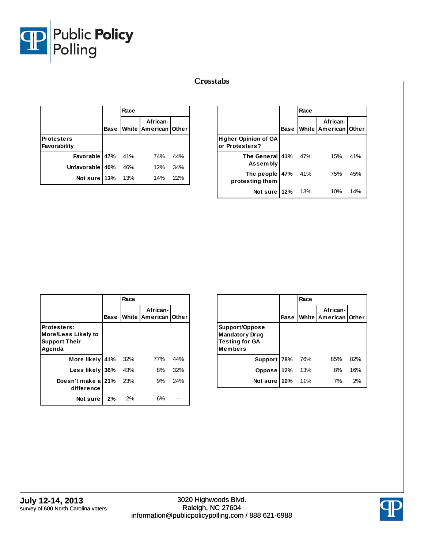

|                            |             |      |                                      |     | <b>Crosstabs-</b>                             |     |      |                                              |     |
|----------------------------|-------------|------|--------------------------------------|-----|-----------------------------------------------|-----|------|----------------------------------------------|-----|
|                            |             | Race |                                      |     |                                               |     | Race |                                              |     |
|                            | <b>Base</b> |      | African-<br>White   American   Other |     |                                               |     |      | African-<br><b>Base White American Other</b> |     |
| Protesters<br>Favorability |             |      |                                      |     | <b>Higher Opinion of GA</b><br>or Protesters? |     |      |                                              |     |
| Favorable 47%              |             | 41%  | 74%                                  | 44% | The General 41%                               |     | 47%  | 15%                                          | 41% |
| <b>Unfavorable</b>         | 40%         | 46%  | 12%                                  | 34% | Assembly                                      |     |      |                                              |     |
| Not sure 13%               |             | 13%  | 14%                                  | 22% | The people $ 47%$<br>protesting them          |     | 41%  | 75%                                          | 45% |
|                            |             |      |                                      |     | Not sure                                      | 12% | 13%  | 10%                                          | 14% |

|                                                                                    |     | Race |                                       |     |
|------------------------------------------------------------------------------------|-----|------|---------------------------------------|-----|
|                                                                                    |     |      | African-<br>Base White American Other |     |
| <b>Protesters:</b><br><b>More/Less Likely to</b><br><b>Support Their</b><br>Agenda |     |      |                                       |     |
| More likely 41%                                                                    |     | 32%  | 77%                                   | 44% |
| Less likely                                                                        | 36% | 43%  | 8%                                    | 32% |
| Doesn't make a 21%<br>difference                                                   |     | 23%  | 9%                                    | 24% |
| Notsure l                                                                          | 2%  | 2%   | 6%                                    |     |

|                                                                                    |             | Race |                                              |     |
|------------------------------------------------------------------------------------|-------------|------|----------------------------------------------|-----|
|                                                                                    | <b>Base</b> |      | African-<br><b>IWhite   American   Other</b> |     |
| Support/Oppose<br><b>Mandatory Drug</b><br><b>Testing for GA</b><br><b>Members</b> |             |      |                                              |     |
| Support 78%                                                                        |             | 76%  | 85%                                          | 82% |
| Oppose                                                                             | 12%         | 13%  | 8%                                           | 16% |
| Not sure $10%$                                                                     |             | 11%  | 7%                                           | 2%  |

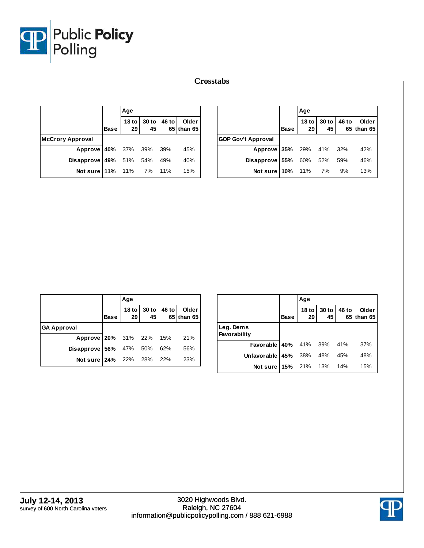

|                         |             | Age                    |             |       |                     |                           |             | Age                    |             |       |                     |
|-------------------------|-------------|------------------------|-------------|-------|---------------------|---------------------------|-------------|------------------------|-------------|-------|---------------------|
|                         | <b>Base</b> | 18 <sub>to</sub><br>29 | 30 to<br>45 | 46 to | Older<br>65 than 65 |                           | <b>Base</b> | 18 <sub>to</sub><br>29 | 30 to<br>45 | 46 to | Older<br>65 than 65 |
| <b>McCrory Approval</b> |             |                        |             |       |                     | <b>GOP Gov't Approval</b> |             |                        |             |       |                     |
| Approve 40%             |             | 37%                    | 39%         | 39%   | 45%                 | Approve 35%               |             | 29%                    | 41%         | 32%   | 42%                 |
| Disapprove 49%          |             | 51%                    | 54%         | 49%   | 40%                 | Disapprove 55%            |             | 60%                    | 52%         | 59%   | 46%                 |
| Not sure 11%            |             | 11%                    | 7%          | 11%   | 15%                 | Not sure 10%              |             | 11%                    | 7%          | 9%    | 13%                 |

|                                   |      | Age |  |                                             |
|-----------------------------------|------|-----|--|---------------------------------------------|
|                                   | Base |     |  | 18 to 30 to 46 to Older<br>29 45 65 than 65 |
| <b>GA Approval</b>                |      |     |  |                                             |
| Approve 20% 31% 22% 15% 21%       |      |     |  |                                             |
| <b>Disapprove</b> 56% 47% 50% 62% |      |     |  | 56%                                         |
| Not sure 24% 22% 28% 22% 23%      |      |     |  |                                             |

|                                  |             | Age                    |               |       |                     |
|----------------------------------|-------------|------------------------|---------------|-------|---------------------|
|                                  | <b>Base</b> | 18 <sub>to</sub><br>29 | $30$ to<br>45 | 46 to | Older<br>65 than 65 |
| Leg. Dems<br>Favorability        |             |                        |               |       |                     |
| <b>Favorable 40%</b> 41% 39% 41% |             |                        |               |       | 37%                 |
| Unfavorable                      | 45%         | 38% 48% 45%            |               |       | 48%                 |
| Not sure 15% 21% 13% 14%         |             |                        |               |       | 15%                 |

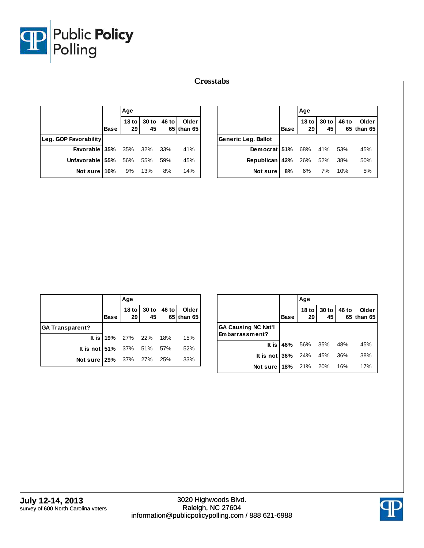

|                       |             | Age                 |               |       | Age                 |                     |             |                        |             |       |                     |
|-----------------------|-------------|---------------------|---------------|-------|---------------------|---------------------|-------------|------------------------|-------------|-------|---------------------|
|                       | <b>Base</b> | 18 to $\vert$<br>29 | $30$ to<br>45 | 46 to | Older<br>65 than 65 |                     | <b>Base</b> | 18 <sub>to</sub><br>29 | 30 to<br>45 | 46 to | Older<br>65 than 65 |
| Leg. GOP Favorability |             |                     |               |       |                     | Generic Leg. Ballot |             |                        |             |       |                     |
| Favorable 35%         |             | 35%                 | 32%           | 33%   | 41%                 | Democrat 51%        |             | 68%                    | 41%         | 53%   | 45%                 |
| Unfavorable 55%       |             | 56%                 | 55%           | 59%   | 45%                 | Republican $ 42%$   |             | 26%                    | 52%         | 38%   | 50%                 |
| Not sure 10%          |             | 9%                  | 13%           | 8%    | 14%                 | Not sure            | 8%          | 6%                     | 7%          | 10%   | 5%                  |

|                                 |      | Age                       |                            |                         |  |  |
|---------------------------------|------|---------------------------|----------------------------|-------------------------|--|--|
|                                 | Base |                           | 18 to 30 to 46 to 29 45 65 | Older<br>$65$ than $65$ |  |  |
| <b>GA Transparent?</b>          |      |                           |                            |                         |  |  |
|                                 |      | It is 19% 27% 22% 18% 15% |                            |                         |  |  |
| It is not $51\%$ 37% 51% 57%    |      |                           |                            | 52%                     |  |  |
| <b>Not sure 29%</b> 37% 27% 25% |      |                           |                            | 33%                     |  |  |

|                                              |             | Age                       |               |       |                       |  |
|----------------------------------------------|-------------|---------------------------|---------------|-------|-----------------------|--|
|                                              | <b>Base</b> | 18 <sub>to</sub><br>29    | $30$ to<br>45 | 46 to | Older<br>$65$ than 65 |  |
| <b>GA Causing NC Nat'l</b><br>Embarrassment? |             |                           |               |       |                       |  |
|                                              |             | It is $ 46\%$ 56% 35% 48% |               |       | 45%                   |  |
| It is not $36\%$ 24% 45% 36%                 |             |                           |               |       | 38%                   |  |
| Not sure 18% 21% 20% 16%                     |             |                           |               |       | 17%                   |  |

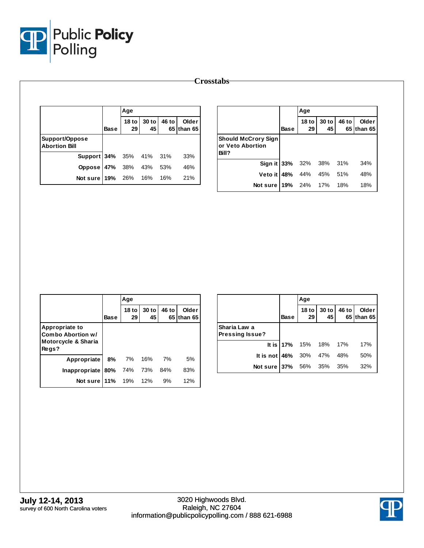

|                                        |             | Age                                    |             |       |                     |                                                |             | Age                    |                        |       |                     |
|----------------------------------------|-------------|----------------------------------------|-------------|-------|---------------------|------------------------------------------------|-------------|------------------------|------------------------|-------|---------------------|
|                                        | <b>Base</b> | $18$ to $\overline{\phantom{a}}$<br>29 | 30 to<br>45 | 46 to | Older<br>65 than 65 |                                                | <b>Base</b> | 18 <sub>to</sub><br>29 | 30 <sub>to</sub><br>45 | 46 to | Older<br>65 than 65 |
| Support/Oppose<br><b>Abortion Bill</b> |             |                                        |             |       |                     | <b>Should McCrory Sign</b><br>or Veto Abortion |             |                        |                        |       |                     |
| Support 34%                            |             | 35%                                    | 41%         | 31%   | 33%                 | Bill?                                          |             |                        |                        |       |                     |
| Oppose 47%                             |             | 38%                                    | 43%         | 53%   | 46%                 | Sign it $33%$                                  |             | 32%                    | 38%                    | 31%   | 34%                 |
| Not sure 19%                           |             | 26%                                    | 16%         | 16%   | 21%                 | Veto it 48%                                    |             | 44%                    | 45%                    | 51%   | 48%                 |
|                                        |             |                                        |             |       |                     | Not sure                                       | 19%         | 24%                    | 17%                    | 18%   | 18%                 |

|                                            |             | Age           |             |             |                         |  |  |  |
|--------------------------------------------|-------------|---------------|-------------|-------------|-------------------------|--|--|--|
|                                            | <b>Base</b> | $18$ to<br>29 | 30 to<br>45 | 46 to<br>65 | <b>Older</b><br>than 65 |  |  |  |
|                                            |             |               |             |             |                         |  |  |  |
| Appropriate to<br><b>Combo Abortion w/</b> |             |               |             |             |                         |  |  |  |
| Motorcycle & Sharia                        |             |               |             |             |                         |  |  |  |
| Regs?                                      |             |               |             |             |                         |  |  |  |
| Appropriate                                | 8%          | 7%            | 16%         | 7%          | 5%                      |  |  |  |
| Inappropriate                              | 80%         | 74%           | 73%         | 84%         | 83%                     |  |  |  |
| Not sure 11%                               |             | 19%           | 12%         | 9%          | 12%                     |  |  |  |

|                                        |             | Age                       |                   |       |                     |  |  |  |
|----------------------------------------|-------------|---------------------------|-------------------|-------|---------------------|--|--|--|
|                                        | <b>Base</b> | 29                        | 18 to 30 to<br>45 | 46 to | Older<br>65 than 65 |  |  |  |
| Sharia Law a<br><b>Pressing Issue?</b> |             |                           |                   |       |                     |  |  |  |
|                                        |             | It is 17% 15% 18% 17% 17% |                   |       |                     |  |  |  |
| It is not $ 46\%$ 30% 47% 48%          |             |                           |                   |       | 50%                 |  |  |  |
| Not sure 37% 56% 35% 35%               |             |                           |                   |       | 32%                 |  |  |  |

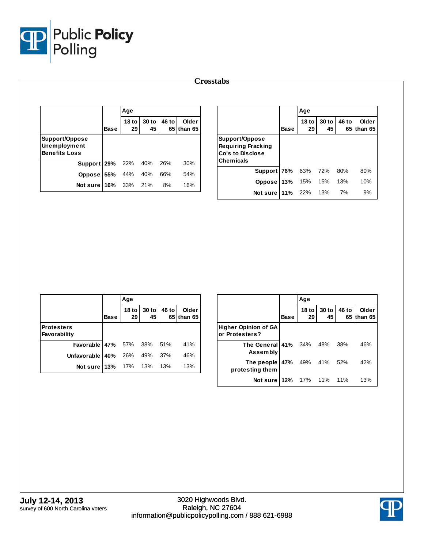

|                                                        |             |                        |               |       |                     | Crosstabs                                                       |             |                        |             |           |                     |
|--------------------------------------------------------|-------------|------------------------|---------------|-------|---------------------|-----------------------------------------------------------------|-------------|------------------------|-------------|-----------|---------------------|
|                                                        | Age         |                        |               |       |                     |                                                                 |             | Age                    |             |           |                     |
|                                                        | <b>Base</b> | 18 <sub>to</sub><br>29 | $30$ to<br>45 | 46 to | Older<br>65 than 65 |                                                                 | <b>Base</b> | 18 <sub>to</sub><br>29 | 30 to<br>45 | 46 to     | Older<br>65 than 65 |
| Support/Oppose<br>Unemployment<br><b>Benefits Loss</b> |             |                        |               |       |                     | Support/Oppose<br><b>Requiring Fracking</b><br>Co's to Disclose |             |                        |             |           |                     |
| Support 29%                                            |             | 22%                    | 40%           | 26%   | 30%                 | <b>Chemicals</b>                                                |             |                        |             |           |                     |
| Oppose                                                 | 55%         | 44%                    | 40%           | 66%   | 54%                 | Support 76%                                                     |             | 63%                    | 72%         | 80%       | 80%                 |
| Not sure                                               | 16%         | 33%                    | 21%           | 8%    | 16%                 | Oppose<br>Not sure 11%                                          | 13%         | 15%<br>22%             | 15%<br>13%  | 13%<br>7% | 10%<br>9%           |

|                                   |             | Age                    |               |       |                     |  |  |  |  |
|-----------------------------------|-------------|------------------------|---------------|-------|---------------------|--|--|--|--|
|                                   | <b>Base</b> | 18 <sub>to</sub><br>29 | $30$ to<br>45 | 46 to | Older<br>65 than 65 |  |  |  |  |
| <b>Protesters</b><br>Favorability |             |                        |               |       |                     |  |  |  |  |
| <b>Favorable 47%</b> 57% 38% 51%  |             |                        |               |       | 41%                 |  |  |  |  |
| Unfavorable                       | 40%         | 26% 49%                |               | 37%   | 46%                 |  |  |  |  |
| Not sure 13% 17% 13%              |             |                        |               | 13%   | 13%                 |  |  |  |  |

|                                               |             | Age                 |               |       |                     |
|-----------------------------------------------|-------------|---------------------|---------------|-------|---------------------|
|                                               | <b>Base</b> | 18 to $\vert$<br>29 | $30$ to<br>45 | 46 to | Older<br>65 than 65 |
| <b>Higher Opinion of GA</b><br>or Protesters? |             |                     |               |       |                     |
| The General 41%<br>Assembly                   |             | - 34%               | 48%           | 38%   | 46%                 |
| The people<br>protesting them                 | 47%         | 49% 41%             |               | 52%   | 42%                 |
| Not sure                                      | 12%         | 17%                 | 11%           | 11%   | 13%                 |

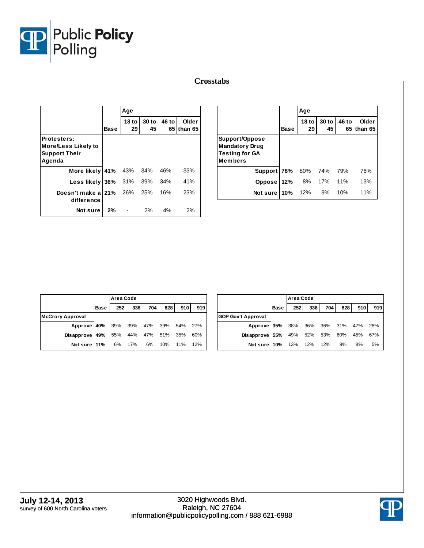

|                                                                                    |             |                          |             |       |                            | <b>Crosstabs</b>                                                                   |             |                     |               |       |                   |
|------------------------------------------------------------------------------------|-------------|--------------------------|-------------|-------|----------------------------|------------------------------------------------------------------------------------|-------------|---------------------|---------------|-------|-------------------|
|                                                                                    |             | Age                      |             |       |                            |                                                                                    |             | Age                 |               |       |                   |
|                                                                                    | <b>Base</b> | 18 <sub>to</sub><br>29   | 30 to<br>45 | 46 to | <b>Older</b><br>65 than 65 |                                                                                    | <b>Base</b> | 18 to $\vert$<br>29 | $30$ to<br>45 | 46 to | Olde<br>65 than 6 |
| <b>Protesters:</b><br><b>More/Less Likely to</b><br><b>Support Their</b><br>Agenda |             |                          |             |       |                            | Support/Oppose<br><b>Mandatory Drug</b><br><b>Testing for GA</b><br><b>Members</b> |             |                     |               |       |                   |
| More likely 41%                                                                    |             | 43%                      | 34%         | 46%   | 33%                        | Support 78%                                                                        |             | 80%                 | 74%           | 79%   | 76%               |
| Less likely 36%                                                                    |             | 31%                      | 39%         | 34%   | 41%                        | 12%<br><b>Oppose</b>                                                               |             | 8%                  | 17%           | 11%   | 13%               |
| Doesn't make a 21%<br>difference                                                   |             | 26%                      | 25%         | 16%   | 23%                        | 10%<br>Not sure                                                                    |             | 12%                 | 9%            | 10%   | 11%               |
| Not sure                                                                           | 2%          | $\overline{\phantom{a}}$ | 2%          | 4%    | 2%                         |                                                                                    |             |                     |               |       |                   |

| Area Code                                                                        |     |  |  |  |  |  |
|----------------------------------------------------------------------------------|-----|--|--|--|--|--|
| 252<br>828<br>704<br>336<br>704<br>910<br>910<br>919<br>828<br><b>Base</b>       | 919 |  |  |  |  |  |
| <b>GOP Gov't Approval</b>                                                        |     |  |  |  |  |  |
| Approve 35% 38% 36% 36% 31% 47% 28%<br>Approve 40% 39% 39% 47% 39%<br>27%<br>54% |     |  |  |  |  |  |
| Disapprove $55\%$ 49%<br>52%<br>51%<br>53%<br>60%<br>45% 67%<br>60%<br>35%       |     |  |  |  |  |  |
| 13%<br>12%<br>10%<br>11%<br>12% 12%<br>9%<br>8%<br>Not sure 10%                  | 5%  |  |  |  |  |  |
|                                                                                  |     |  |  |  |  |  |



**65 than 65 Older**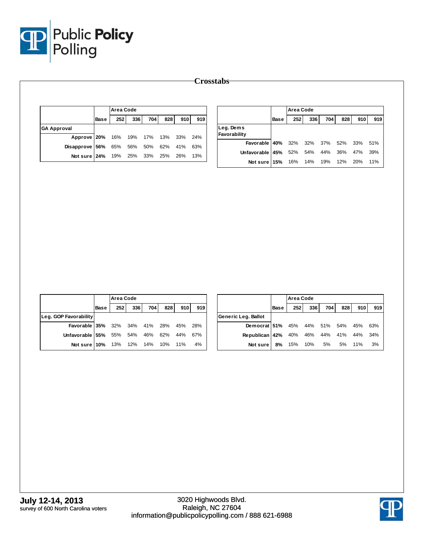

|                                     |             | Area Code |     |     |     |     |     |  |
|-------------------------------------|-------------|-----------|-----|-----|-----|-----|-----|--|
|                                     | <b>Base</b> | 252       | 336 | 704 | 828 | 910 | 919 |  |
| <b>GA Approval</b>                  |             |           |     |     |     |     |     |  |
| Approve 20% 16% 19% 17% 13% 33% 24% |             |           |     |     |     |     |     |  |
| Disapprove 56% 65% 56% 50% 62% 41%  |             |           |     |     |     |     | 63% |  |
| Not sure 24% 19% 25% 33% 25%        |             |           |     |     |     | 26% | 13% |  |

|                                      |             | <b>Area Code</b> |                 |     |     |     |     |  |  |  |
|--------------------------------------|-------------|------------------|-----------------|-----|-----|-----|-----|--|--|--|
|                                      | <b>Base</b> | 252              | 336             | 704 | 828 | 910 | 919 |  |  |  |
| Leg. Dems<br>Favorability            |             |                  |                 |     |     |     |     |  |  |  |
| <b>Favorable 40%</b> 32% 32% 37% 52% |             |                  |                 |     |     | 33% | 51% |  |  |  |
| Unfavorable 45%                      |             |                  | 52% 54% 44% 36% |     |     | 47% | 39% |  |  |  |
| Not sure 15%                         |             |                  | 16% 14% 19%     |     | 12% | 20% | 11% |  |  |  |

|                                      |      | Area Code |     |     |     |     |     |  |  |  |  |
|--------------------------------------|------|-----------|-----|-----|-----|-----|-----|--|--|--|--|
|                                      | Base | 252       | 336 | 704 | 828 | 910 | 919 |  |  |  |  |
| Leg. GOP Favorability                |      |           |     |     |     |     |     |  |  |  |  |
| <b>Favorable 35%</b> 32% 34% 41% 28% |      |           |     |     |     | 45% | 28% |  |  |  |  |
| Unfavorable 55% 55% 54% 46% 62%      |      |           |     |     |     | 44% | 67% |  |  |  |  |
| Not sure 10% 13% 12% 14% 10%         |      |           |     |     |     | 11% | 4%  |  |  |  |  |

|                              |      | <b>Area Code</b> |     |     |     |     |     |  |  |  |
|------------------------------|------|------------------|-----|-----|-----|-----|-----|--|--|--|
|                              | Base | 252              | 336 | 704 | 828 | 910 | 919 |  |  |  |
| Generic Leg. Ballot          |      |                  |     |     |     |     |     |  |  |  |
| Democrat 51% 45% 44% 51% 54% |      |                  |     |     |     | 45% | 63% |  |  |  |
| Republican 42%               |      | 40% 46% 44% 41%  |     |     |     | 44% | 34% |  |  |  |
| Not sure I                   | 8%   | 15% 10% 5% 5%    |     |     |     | 11% | 3%  |  |  |  |

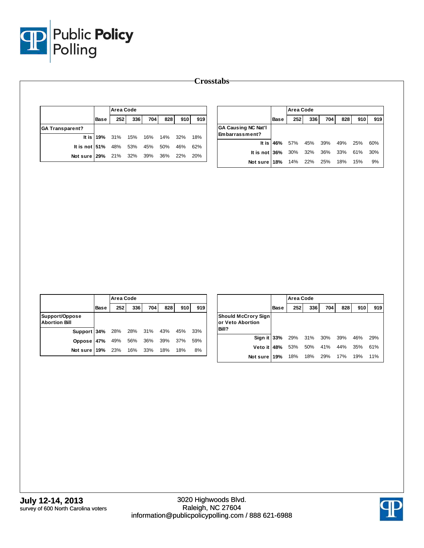

|                                   |             | Area Code                            |     |     |     |     |     |
|-----------------------------------|-------------|--------------------------------------|-----|-----|-----|-----|-----|
|                                   | <b>Base</b> | 252                                  | 336 | 704 | 828 | 910 | 919 |
| <b>GA Transparent?</b>            |             |                                      |     |     |     |     |     |
|                                   |             | <b>It is 19%</b> 31% 15% 16% 14% 32% |     |     |     |     | 18% |
| It is not 51% 48% 53% 45% 50% 46% |             |                                      |     |     |     |     | 62% |
| Not sure 29% 21% 32% 39% 36% 22%  |             |                                      |     |     |     |     | 20% |

|                                              |      | Area Code             |     |     |       |     |     |  |  |  |  |  |
|----------------------------------------------|------|-----------------------|-----|-----|-------|-----|-----|--|--|--|--|--|
|                                              | Base | 252                   | 336 | 704 | 828   | 910 | 919 |  |  |  |  |  |
| <b>GA Causing NC Nat'l</b><br>Embarrassment? |      |                       |     |     |       |     |     |  |  |  |  |  |
|                                              |      | It is 46% 57% 45% 39% |     |     | 49%   | 25% | 60% |  |  |  |  |  |
| It is not $36%$                              |      | 30%                   | 32% | 36% | - 33% | 61% | 30% |  |  |  |  |  |
| Not sure 18%                                 |      | 14% 22%               |     | 25% | 18%   | 15% | 9%  |  |  |  |  |  |

|                                        |      |     | Area Code |     |     |     |     |  |  |  |  |  |
|----------------------------------------|------|-----|-----------|-----|-----|-----|-----|--|--|--|--|--|
|                                        | Base | 252 | 336       | 704 | 828 | 910 | 919 |  |  |  |  |  |
| Support/Oppose<br><b>Abortion Bill</b> |      |     |           |     |     |     |     |  |  |  |  |  |
| Support 34% 28% 28% 31% 43% 45%        |      |     |           |     |     |     | 33% |  |  |  |  |  |
| Oppose 47% 49% 56% 36% 39% 37%         |      |     |           |     |     |     | 59% |  |  |  |  |  |
| Not sure 19% 23% 16% 33% 18%           |      |     |           |     |     | 18% | 8%  |  |  |  |  |  |

|                                                         |      |     | <b>Area Code</b> |     |     |     |     |  |  |  |  |  |  |
|---------------------------------------------------------|------|-----|------------------|-----|-----|-----|-----|--|--|--|--|--|--|
|                                                         | Base | 252 | 336              | 704 | 828 | 910 | 919 |  |  |  |  |  |  |
| <b>Should McCrory Sign</b><br>or Veto Abortion<br>Bill? |      |     |                  |     |     |     |     |  |  |  |  |  |  |
| Sign it 33%                                             |      | 29% | 31%              | 30% | 39% | 46% | 29% |  |  |  |  |  |  |
| Veto it 48%                                             |      | 53% | 50%              | 41% | 44% | 35% | 61% |  |  |  |  |  |  |
| Not sure 19%                                            |      | 18% | 18%              | 29% | 17% | 19% | 11% |  |  |  |  |  |  |

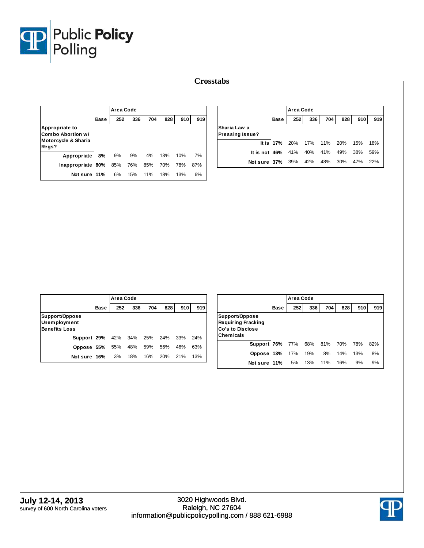

|                                     |             | <b>Area Code</b> |     |     |     |     |     |                                        |             | <b>Area Code</b> |     |     |     |     |     |
|-------------------------------------|-------------|------------------|-----|-----|-----|-----|-----|----------------------------------------|-------------|------------------|-----|-----|-----|-----|-----|
|                                     | <b>Base</b> | 252              | 336 | 704 | 828 | 910 | 919 |                                        | <b>Base</b> | 252              | 336 | 704 | 828 | 910 | 919 |
| Appropriate to<br>Combo Abortion w/ |             |                  |     |     |     |     |     | Sharia Law a<br><b>Pressing Issue?</b> |             |                  |     |     |     |     |     |
| Motorcycle & Sharia<br>Regs?        |             |                  |     |     |     |     |     |                                        | It is $17%$ | 20%              | 17% | 11% | 20% | 15% | 18% |
| Appropriate                         | 8%          | 9%               | 9%  | 4%  | 13% | 10% | 7%  | It is not $46%$                        |             | 41%              | 40% | 41% | 49% | 38% | 59% |
| Inappropriate 80%                   |             | 85%              | 76% | 85% | 70% | 78% | 87% | Not sure 37%                           |             | 39%              | 42% | 48% | 30% | 47% | 22% |
| Not sure 11%                        |             | 6%               | 15% | 11% | 18% | 13% | 6%  |                                        |             |                  |     |     |     |     |     |

|                                                        |             | Area Code       |        |             |     |     |     |
|--------------------------------------------------------|-------------|-----------------|--------|-------------|-----|-----|-----|
|                                                        | <b>Base</b> | 252             | 336    | 704         | 828 | 910 | 919 |
| Support/Oppose<br>Unemployment<br><b>Benefits Loss</b> |             |                 |        |             |     |     |     |
| Support 29%                                            |             | 42% 34% 25% 24% |        |             |     | 33% | 24% |
| Oppose 55%                                             |             |                 |        | 55% 48% 59% | 56% | 46% | 63% |
| Notsure 16%                                            |             |                 | 3% 18% | 16%         | 20% | 21% | 13% |

|                                                                                     |      | Area Code |     |     |     |     |     |
|-------------------------------------------------------------------------------------|------|-----------|-----|-----|-----|-----|-----|
|                                                                                     | Base | 252       | 336 | 704 | 828 | 910 | 919 |
| Support/Oppose<br><b>Requiring Fracking</b><br>Co's to Disclose<br><b>Chemicals</b> |      |           |     |     |     |     |     |
| Support 76%                                                                         |      | 77%       | 68% | 81% | 70% | 78% | 82% |
| <b>Oppose</b>                                                                       | 13%  | 17%       | 19% | 8%  | 14% | 13% | 8%  |
| Not sure                                                                            | 11%  | 5%        | 13% | 11% | 16% | 9%  | 9%  |